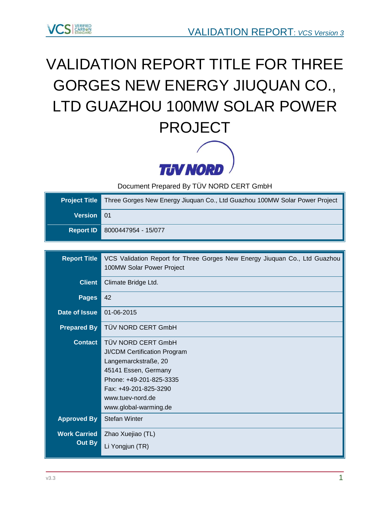

# VALIDATION REPORT TITLE FOR [THREE](https://vcsprojectdatabase2.apx.com/myModule/Interactive.asp?Tab=Pipeline&a=3&i=1332&lat=29%2E7488416666667&lon=102%2E436547&bp=1)  [GORGES NEW ENERGY JIUQUAN CO.,](https://vcsprojectdatabase2.apx.com/myModule/Interactive.asp?Tab=Pipeline&a=3&i=1332&lat=29%2E7488416666667&lon=102%2E436547&bp=1)  [LTD GUAZHOU 100MW SOLAR POWER](https://vcsprojectdatabase2.apx.com/myModule/Interactive.asp?Tab=Pipeline&a=3&i=1332&lat=29%2E7488416666667&lon=102%2E436547&bp=1)  [PROJECT](https://vcsprojectdatabase2.apx.com/myModule/Interactive.asp?Tab=Pipeline&a=3&i=1332&lat=29%2E7488416666667&lon=102%2E436547&bp=1)



Document Prepared By TÜV NORD CERT GmbH

| <b>Project Title</b> | Three Gorges New Energy Jiuguan Co., Ltd Guazhou 100MW Solar Power Project |
|----------------------|----------------------------------------------------------------------------|
| Version 01           |                                                                            |
|                      | Report ID 8000447954 - 15/077                                              |

| <b>Report Title</b>           | VCS Validation Report for Three Gorges New Energy Jiuquan Co., Ltd Guazhou<br>100MW Solar Power Project                                                                                                    |
|-------------------------------|------------------------------------------------------------------------------------------------------------------------------------------------------------------------------------------------------------|
| <b>Client</b>                 | Climate Bridge Ltd.                                                                                                                                                                                        |
| <b>Pages</b>                  | 42                                                                                                                                                                                                         |
| Date of Issue                 | 01-06-2015                                                                                                                                                                                                 |
| <b>Prepared By</b>            | TÜV NORD CERT GmbH                                                                                                                                                                                         |
| <b>Contact</b>                | TÜV NORD CERT GmbH<br><b>JI/CDM Certification Program</b><br>Langemarckstraße, 20<br>45141 Essen, Germany<br>Phone: +49-201-825-3335<br>Fax: +49-201-825-3290<br>www.tuev-nord.de<br>www.global-warming.de |
| <b>Approved By</b>            | <b>Stefan Winter</b>                                                                                                                                                                                       |
| <b>Work Carried</b><br>Out By | Zhao Xuejiao (TL)<br>Li Yongjun (TR)                                                                                                                                                                       |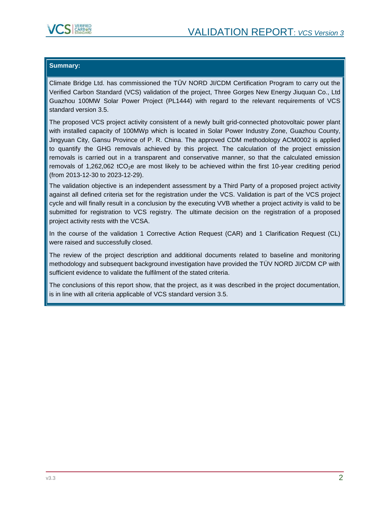

#### **Summary:**

Climate Bridge Ltd. has commissioned the TÜV NORD JI/CDM Certification Program to carry out the Verified Carbon Standard (VCS) validation of the project, Three Gorges New Energy Jiuquan Co., Ltd Guazhou 100MW Solar Power Project (PL1444) with regard to the relevant requirements of VCS standard version 3.5.

The proposed VCS project activity consistent of a newly built grid-connected photovoltaic power plant with installed capacity of 100MWp which is located in Solar Power Industry Zone, Guazhou County, Jingyuan City, Gansu Province of P. R. China. The approved CDM methodology ACM0002 is applied to quantify the GHG removals achieved by this project. The calculation of the project emission removals is carried out in a transparent and conservative manner, so that the calculated emission removals of 1,262,062 tCO<sub>2</sub>e are most likely to be achieved within the first 10-year crediting period (from 2013-12-30 to 2023-12-29).

The validation objective is an independent assessment by a Third Party of a proposed project activity against all defined criteria set for the registration under the VCS. Validation is part of the VCS project cycle and will finally result in a conclusion by the executing VVB whether a project activity is valid to be submitted for registration to VCS registry. The ultimate decision on the registration of a proposed project activity rests with the VCSA.

In the course of the validation 1 Corrective Action Request (CAR) and 1 Clarification Request (CL) were raised and successfully closed.

The review of the project description and additional documents related to baseline and monitoring methodology and subsequent background investigation have provided the TÜV NORD JI/CDM CP with sufficient evidence to validate the fulfilment of the stated criteria.

The conclusions of this report show, that the project, as it was described in the project documentation, is in line with all criteria applicable of VCS standard version 3.5.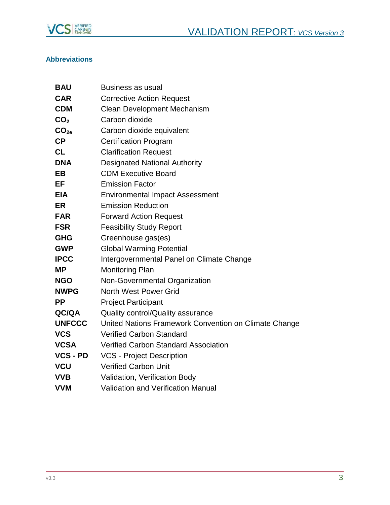

## **Abbreviations**

| <b>BAU</b>       | <b>Business as usual</b>                              |
|------------------|-------------------------------------------------------|
| <b>CAR</b>       | <b>Corrective Action Request</b>                      |
| <b>CDM</b>       | <b>Clean Development Mechanism</b>                    |
| CO <sub>2</sub>  | Carbon dioxide                                        |
| CO <sub>2e</sub> | Carbon dioxide equivalent                             |
| CP               | <b>Certification Program</b>                          |
| <b>CL</b>        | <b>Clarification Request</b>                          |
| <b>DNA</b>       | <b>Designated National Authority</b>                  |
| <b>EB</b>        | <b>CDM Executive Board</b>                            |
| EF               | <b>Emission Factor</b>                                |
| <b>EIA</b>       | <b>Environmental Impact Assessment</b>                |
| <b>ER</b>        | <b>Emission Reduction</b>                             |
| <b>FAR</b>       | <b>Forward Action Request</b>                         |
| <b>FSR</b>       | <b>Feasibility Study Report</b>                       |
| <b>GHG</b>       | Greenhouse gas(es)                                    |
| <b>GWP</b>       | <b>Global Warming Potential</b>                       |
| <b>IPCC</b>      | Intergovernmental Panel on Climate Change             |
| <b>MP</b>        | <b>Monitoring Plan</b>                                |
| <b>NGO</b>       | Non-Governmental Organization                         |
| <b>NWPG</b>      | North West Power Grid                                 |
| <b>PP</b>        | <b>Project Participant</b>                            |
| QC/QA            | Quality control/Quality assurance                     |
| <b>UNFCCC</b>    | United Nations Framework Convention on Climate Change |
| <b>VCS</b>       | <b>Verified Carbon Standard</b>                       |
| <b>VCSA</b>      | <b>Verified Carbon Standard Association</b>           |
| <b>VCS - PD</b>  | <b>VCS - Project Description</b>                      |
| <b>VCU</b>       | <b>Verified Carbon Unit</b>                           |
| <b>VVB</b>       | Validation, Verification Body                         |
| <b>VVM</b>       | <b>Validation and Verification Manual</b>             |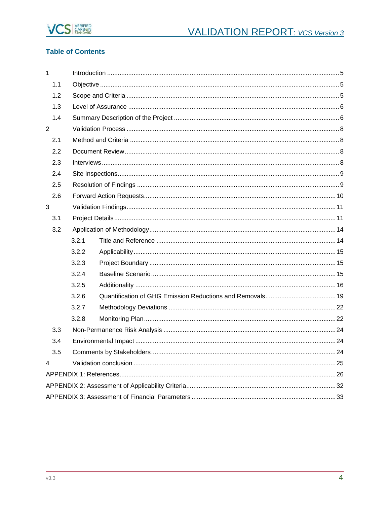

## **Table of Contents**

| $\mathbf{1}$            |       |  |  |
|-------------------------|-------|--|--|
| 1.1                     |       |  |  |
| 1.2                     |       |  |  |
| 1.3                     |       |  |  |
| 1.4                     |       |  |  |
| $\overline{2}$          |       |  |  |
| 2.1                     |       |  |  |
| 2.2                     |       |  |  |
| 2.3                     |       |  |  |
| 2.4                     |       |  |  |
| 2.5                     |       |  |  |
| 2.6                     |       |  |  |
| 3                       |       |  |  |
| 3.1                     |       |  |  |
| 3.2                     |       |  |  |
|                         | 3.2.1 |  |  |
|                         | 3.2.2 |  |  |
|                         | 3.2.3 |  |  |
|                         | 3.2.4 |  |  |
|                         | 3.2.5 |  |  |
|                         | 3.2.6 |  |  |
|                         | 3.2.7 |  |  |
|                         | 3.2.8 |  |  |
| 3.3                     |       |  |  |
| 3.4                     |       |  |  |
| 3.5                     |       |  |  |
| $\overline{\mathbf{4}}$ |       |  |  |
|                         |       |  |  |
|                         |       |  |  |
|                         |       |  |  |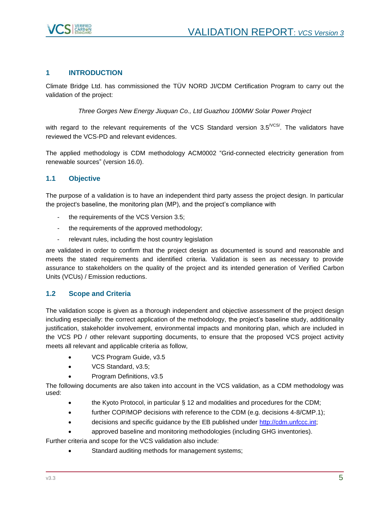

## <span id="page-4-0"></span>**1 INTRODUCTION**

Climate Bridge Ltd. has commissioned the TÜV NORD JI/CDM Certification Program to carry out the validation of the project:

*Three Gorges New Energy Jiuquan Co., Ltd Guazhou 100MW Solar Power Project*

with regard to the relevant requirements of the VCS Standard version  $3.5^{\text{NCS}}$ . The validators have reviewed the VCS-PD and relevant evidences.

The applied methodology is CDM methodology ACM0002 "Grid-connected electricity generation from renewable sources" (version 16.0).

## <span id="page-4-1"></span>**1.1 Objective**

The purpose of a validation is to have an independent third party assess the project design. In particular the project's baseline, the monitoring plan (MP), and the project's compliance with

- the requirements of the VCS Version 3.5;
- the requirements of the approved methodology;
- relevant rules, including the host country legislation

are validated in order to confirm that the project design as documented is sound and reasonable and meets the stated requirements and identified criteria. Validation is seen as necessary to provide assurance to stakeholders on the quality of the project and its intended generation of Verified Carbon Units (VCUs) / Emission reductions.

### <span id="page-4-2"></span>**1.2 Scope and Criteria**

The validation scope is given as a thorough independent and objective assessment of the project design including especially: the correct application of the methodology, the project's baseline study, additionality justification, stakeholder involvement, environmental impacts and monitoring plan, which are included in the VCS PD / other relevant supporting documents, to ensure that the proposed VCS project activity meets all relevant and applicable criteria as follow,

- VCS Program Guide, v3.5
- VCS Standard, v3.5;
- Program Definitions, v3.5

The following documents are also taken into account in the VCS validation, as a CDM methodology was used:

- the Kyoto Protocol, in particular § 12 and modalities and procedures for the CDM;
- further COP/MOP decisions with reference to the CDM (e.g. decisions 4-8/CMP.1);
- decisions and specific guidance by the EB published under [http://cdm.unfccc.int;](http://cdm.unfccc.int/)
- approved baseline and monitoring methodologies (including GHG inventories).

Further criteria and scope for the VCS validation also include:

Standard auditing methods for management systems;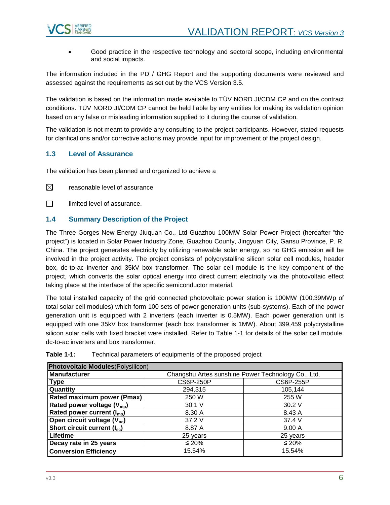

 Good practice in the respective technology and sectoral scope, including environmental and social impacts.

The information included in the PD / GHG Report and the supporting documents were reviewed and assessed against the requirements as set out by the VCS Version 3.5.

The validation is based on the information made available to TÜV NORD JI/CDM CP and on the contract conditions. TÜV NORD JI/CDM CP cannot be held liable by any entities for making its validation opinion based on any false or misleading information supplied to it during the course of validation.

The validation is not meant to provide any consulting to the project participants. However, stated requests for clarifications and/or corrective actions may provide input for improvement of the project design.

## <span id="page-5-0"></span>**1.3 Level of Assurance**

The validation has been planned and organized to achieve a

⊠ reasonable level of assurance

 $\Box$ limited level of assurance.

## <span id="page-5-1"></span>**1.4 Summary Description of the Project**

The Three Gorges New Energy Jiuquan Co., Ltd Guazhou 100MW Solar Power Project (hereafter "the project") is located in Solar Power Industry Zone, Guazhou County, Jingyuan City, Gansu Province, P. R. China. The project generates electricity by utilizing renewable solar energy, so no GHG emission will be involved in the project activity. The project consists of polycrystalline silicon solar cell modules, header box, dc-to-ac inverter and 35kV box transformer. The solar cell module is the key component of the project, which converts the solar optical energy into direct current electricity via the photovoltaic effect taking place at the interface of the specific semiconductor material.

The total installed capacity of the grid connected photovoltaic power station is 100MW (100.39MWp of total solar cell modules) which form 100 sets of power generation units (sub-systems). Each of the power generation unit is equipped with 2 inverters (each inverter is 0.5MW). Each power generation unit is equipped with one 35kV box transformer (each box transformer is 1MW). About 399,459 polycrystalline silicon solar cells with fixed bracket were installed. Refer to Table 1-1 for details of the solar cell module, dc-to-ac inverters and box transformer.

| <b>Photovoltaic Modules</b> (Polysilicon) |                                                    |             |  |  |
|-------------------------------------------|----------------------------------------------------|-------------|--|--|
| Manufacturer                              | Changshu Artes sunshine Power Technology Co., Ltd. |             |  |  |
| <b>Type</b>                               | <b>CS6P-250P</b><br><b>CS6P-255P</b>               |             |  |  |
| Quantity                                  | 294,315                                            | 105,144     |  |  |
| Rated maximum power (Pmax)                | 250 W                                              | 255 W       |  |  |
| Rated power voltage (V <sub>mp</sub> )    | 30.1 V                                             | 30.2 V      |  |  |
| Rated power current $(I_{\text{mo}})$     | 8.30 A                                             | 8.43 A      |  |  |
| Open circuit voltage (V <sub>oc</sub> )   | 37.2 V                                             | 37.4 V      |  |  |
| Short circuit current $(I_{sc})$          | 8.87 A                                             | 9.00A       |  |  |
| Lifetime                                  | 25 years                                           | 25 years    |  |  |
| Decay rate in 25 years                    | $\leq 20\%$                                        | $\leq 20\%$ |  |  |
| <b>Conversion Efficiency</b>              | 15.54%                                             | 15.54%      |  |  |

## **Table 1-1:** Technical parameters of equipments of the proposed project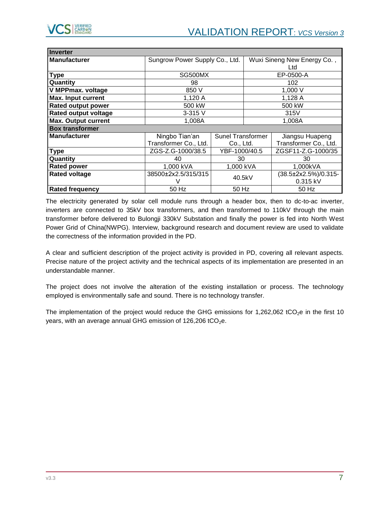| <b>Inverter</b>             |                                |                          |        |                             |
|-----------------------------|--------------------------------|--------------------------|--------|-----------------------------|
| <b>Manufacturer</b>         | Sungrow Power Supply Co., Ltd. |                          |        | Wuxi Sineng New Energy Co., |
|                             |                                |                          |        | Ltd                         |
| <b>Type</b>                 | SG500MX                        |                          |        | EP-0500-A                   |
| Quantity                    | 98                             |                          |        | 102                         |
| <b>V MPPmax. voltage</b>    | 850 V                          |                          |        | 1,000 V                     |
| <b>Max. Input current</b>   | 1,120 A                        |                          |        | 1,128 A                     |
| <b>Rated output power</b>   | 500 kW                         |                          | 500 kW |                             |
| <b>Rated output voltage</b> | 3-315 V                        |                          | 315V   |                             |
| <b>Max. Output current</b>  | 1,008A                         |                          | 1,008A |                             |
| <b>Box transformer</b>      |                                |                          |        |                             |
| <b>Manufacturer</b>         | Ningbo Tian'an                 | <b>Sunel Transformer</b> |        | Jiangsu Huapeng             |
|                             | Transformer Co., Ltd.          | Co., Ltd.                |        | Transformer Co., Ltd.       |
| <b>Type</b>                 | ZGS-Z.G-1000/38.5              | YBF-1000/40.5            |        | ZGSF11-Z.G-1000/35          |
| Quantity                    | 40                             | 30                       |        | 30                          |
| <b>Rated power</b>          | 1,000 kVA                      | 1,000 kVA                |        | 1,000kVA                    |
| <b>Rated voltage</b>        | 38500±2x2.5/315/315            | 40.5kV<br>0.315 kV       |        | (38.5±2x2.5%)/0.315-        |
|                             |                                |                          |        |                             |
| <b>Rated frequency</b>      | 50 Hz                          | 50 Hz<br>50 Hz           |        |                             |

The electricity generated by solar cell module runs through a header box, then to dc-to-ac inverter, inverters are connected to 35kV box transformers, and then transformed to 110kV through the main transformer before delivered to Bulongji 330kV Substation and finally the power is fed into North West Power Grid of China(NWPG). Interview, background research and document review are used to validate the correctness of the information provided in the PD.

A clear and sufficient description of the project activity is provided in PD, covering all relevant aspects. Precise nature of the project activity and the technical aspects of its implementation are presented in an understandable manner.

The project does not involve the alteration of the existing installation or process. The technology employed is environmentally safe and sound. There is no technology transfer.

The implementation of the project would reduce the GHG emissions for 1,262,062 tCO<sub>2</sub>e in the first 10 years, with an average annual GHG emission of  $126,206$  tCO<sub>2</sub>e.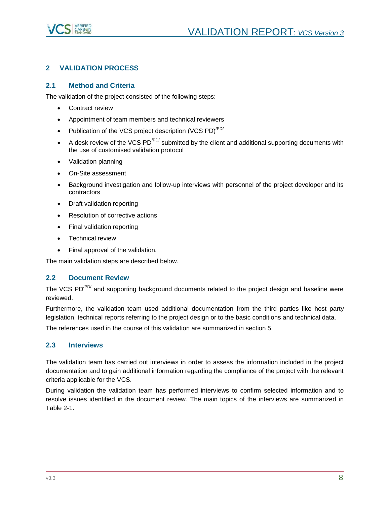

## <span id="page-7-0"></span>**2 VALIDATION PROCESS**

## <span id="page-7-1"></span>**2.1 Method and Criteria**

The validation of the project consisted of the following steps:

- Contract review
- Appointment of team members and technical reviewers
- Publication of the VCS project description (VCS PD)<sup> $PDA$ </sup>
- A desk review of the VCS PD<sup>/PD/</sup> submitted by the client and additional supporting documents with the use of customised validation protocol
- Validation planning
- On-Site assessment
- Background investigation and follow-up interviews with personnel of the project developer and its contractors
- Draft validation reporting
- Resolution of corrective actions
- Final validation reporting
- **•** Technical review
- Final approval of the validation.

The main validation steps are described below.

## <span id="page-7-2"></span>**2.2 Document Review**

The VCS PD<sup>/PD/</sup> and supporting background documents related to the project design and baseline were reviewed.

Furthermore, the validation team used additional documentation from the third parties like host party legislation, technical reports referring to the project design or to the basic conditions and technical data.

The references used in the course of this validation are summarized in section 5.

## <span id="page-7-3"></span>**2.3 Interviews**

The validation team has carried out interviews in order to assess the information included in the project documentation and to gain additional information regarding the compliance of the project with the relevant criteria applicable for the VCS.

During validation the validation team has performed interviews to confirm selected information and to resolve issues identified in the document review. The main topics of the interviews are summarized in Table 2-1.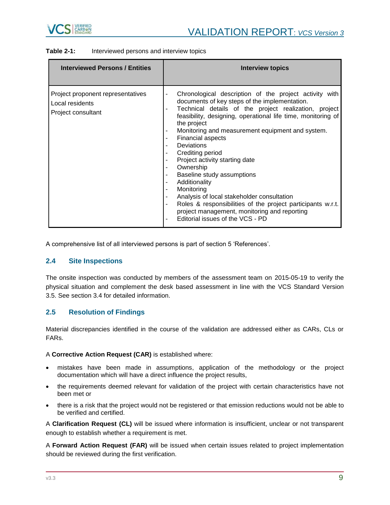

| <b>Interviewed Persons / Entities</b>                                      | Interview topics                                                                                                                                                                                                                                                                                                                                                                                                                                                                                                                                                                                                                                                                                                                                                               |
|----------------------------------------------------------------------------|--------------------------------------------------------------------------------------------------------------------------------------------------------------------------------------------------------------------------------------------------------------------------------------------------------------------------------------------------------------------------------------------------------------------------------------------------------------------------------------------------------------------------------------------------------------------------------------------------------------------------------------------------------------------------------------------------------------------------------------------------------------------------------|
| Project proponent representatives<br>Local residents<br>Project consultant | Chronological description of the project activity with<br>-<br>documents of key steps of the implementation.<br>Technical details of the project realization, project<br>-<br>feasibility, designing, operational life time, monitoring of<br>the project<br>Monitoring and measurement equipment and system.<br>-<br><b>Financial aspects</b><br>۰<br><b>Deviations</b><br>٠<br>Crediting period<br>۰<br>Project activity starting date<br>-<br>Ownership<br>Ξ.<br>Baseline study assumptions<br>-<br>Additionality<br>۰<br>Monitoring<br>۰<br>Analysis of local stakeholder consultation<br>$\overline{\phantom{0}}$<br>Roles & responsibilities of the project participants w.r.t.<br>-<br>project management, monitoring and reporting<br>Editorial issues of the VCS - PD |

A comprehensive list of all interviewed persons is part of section 5 'References'.

### <span id="page-8-0"></span>**2.4 Site Inspections**

The onsite inspection was conducted by members of the assessment team on 2015-05-19 to verify the physical situation and complement the desk based assessment in line with the VCS Standard Version 3.5. See section 3.4 for detailed information.

## <span id="page-8-1"></span>**2.5 Resolution of Findings**

Material discrepancies identified in the course of the validation are addressed either as CARs, CLs or FARs.

#### A **Corrective Action Request (CAR)** is established where:

- mistakes have been made in assumptions, application of the methodology or the project documentation which will have a direct influence the project results,
- the requirements deemed relevant for validation of the project with certain characteristics have not been met or
- there is a risk that the project would not be registered or that emission reductions would not be able to be verified and certified.

A **Clarification Request (CL)** will be issued where information is insufficient, unclear or not transparent enough to establish whether a requirement is met.

A **Forward Action Request (FAR)** will be issued when certain issues related to project implementation should be reviewed during the first verification.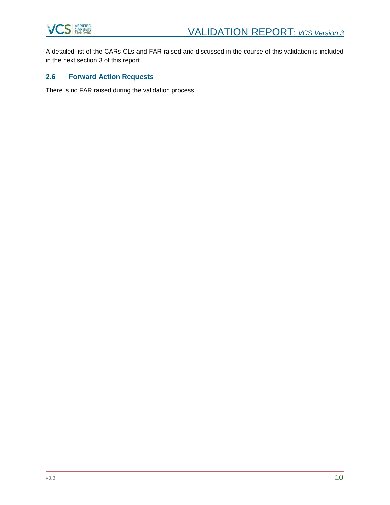

A detailed list of the CARs CLs and FAR raised and discussed in the course of this validation is included in the next section 3 of this report.

## <span id="page-9-0"></span>**2.6 Forward Action Requests**

There is no FAR raised during the validation process.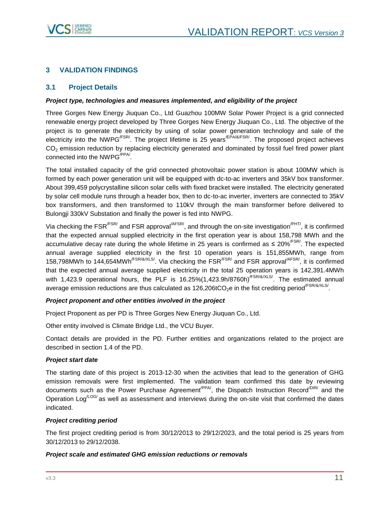

## <span id="page-10-0"></span>**3 VALIDATION FINDINGS**

## <span id="page-10-1"></span>**3.1 Project Details**

#### *Project type, technologies and measures implemented, and eligibility of the project*

Three Gorges New Energy Jiuquan Co., Ltd Guazhou 100MW Solar Power Project is a grid connected renewable energy project developed by Three Gorges New Energy Jiuquan Co., Ltd. The objective of the project is to generate the electricity by using of solar power generation technology and sale of the electricity into the NWPG<sup> $FSR$ </sup>. The project lifetime is 25 years<sup> $/EPA/&FSR/$ </sup>. The proposed project achieves CO<sub>2</sub> emission reduction by replacing electricity generated and dominated by fossil fuel fired power plant connected into the NWPG $^{\prime$ PP<sup> $\prime$ </sup>.

The total installed capacity of the grid connected photovoltaic power station is about 100MW which is formed by each power generation unit will be equipped with dc-to-ac inverters and 35kV box transformer. About 399,459 polycrystalline silicon solar cells with fixed bracket were installed. The electricity generated by solar cell module runs through a header box, then to dc-to-ac inverter, inverters are connected to 35kV box transformers, and then transformed to 110kV through the main transformer before delivered to Bulongji 330kV Substation and finally the power is fed into NWPG.

Via checking the FSR<sup>/FSR/</sup> and FSR approval<sup>/AFSR/</sup>, and through the on-site investigation<sup>/PHT/</sup>, it is confirmed that the expected annual supplied electricity in the first operation year is about 158,798 MWh and the accumulative decay rate during the whole lifetime in 25 years is confirmed as  $\leq 20\%^{\text{FSR}}$ . The expected annual average supplied electricity in the first 10 operation years is 151,855MWh, range from 158,798MWh to 144,654MWh<sup>/FSR/&/XLS/</sup>. Via checking the FSR<sup>/FSR/</sup> and FSR approval<sup>/AFSR/</sup>, it is confirmed that the expected annual average supplied electricity in the total 25 operation years is 142,391.4MWh with 1,423.9 operational hours, the PLF is 16.25%(1,423.9h/8760h)<sup>/FSR/&/XLS/</sup>. The estimated annual average emission reductions are thus calculated as 126,206tCO<sub>2</sub>e in the fist crediting period<sup>/FSR/&/XLS/</sup>.

#### *Project proponent and other entities involved in the project*

Project Proponent as per PD is Three Gorges New Energy Jiuquan Co., Ltd.

Other entity involved is Climate Bridge Ltd., the VCU Buyer.

Contact details are provided in the PD. Further entities and organizations related to the project are described in section 1.4 of the PD.

#### *Project start date*

The starting date of this project is 2013-12-30 when the activities that lead to the generation of GHG emission removals were first implemented. The validation team confirmed this date by reviewing documents such as the Power Purchase Agreement<sup>/PPA/</sup>, the Dispatch Instruction Record<sup>/DIR/</sup> and the Operation Log<sup> $\text{LOG}/\text{OS}$ </sup> as well as assessment and interviews during the on-site visit that confirmed the dates indicated.

#### *Project crediting period*

The first project crediting period is from 30/12/2013 to 29/12/2023, and the total period is 25 years from 30/12/2013 to 29/12/2038.

#### *Project scale and estimated GHG emission reductions or removals*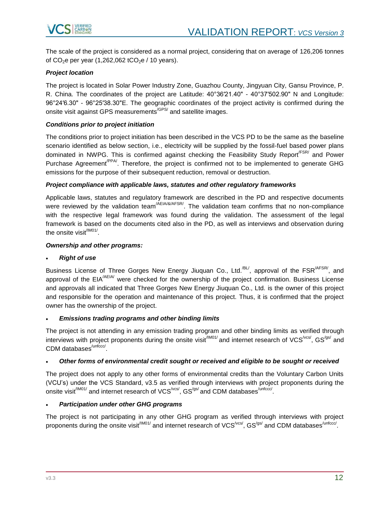

The scale of the project is considered as a normal project, considering that on average of 126,206 tonnes of  $CO<sub>2</sub>e$  per year (1,262,062 tCO<sub>2</sub>e / 10 years).

#### *Project location*

The project is located in Solar Power Industry Zone, Guazhou County, Jingyuan City, Gansu Province, P. R. China. The coordinates of the project are Latitude: 40°36′21.40" - 40°37′502.90" N and Longitude: 96°24′6.30" - 96°25′38.30"E. The geographic coordinates of the project activity is confirmed during the onsite visit against GPS measurements<sup>/GPS/</sup> and satellite images.

#### *Conditions prior to project initiation*

The conditions prior to project initiation has been described in the VCS PD to be the same as the baseline scenario identified as below section, i.e., electricity will be supplied by the fossil-fuel based power plans dominated in NWPG. This is confirmed against checking the Feasibility Study Report<sup>/FSR/</sup> and Power Purchase Agreement<sup>/PPA</sup>. Therefore, the project is confirmed not to be implemented to generate GHG emissions for the purpose of their subsequent reduction, removal or destruction.

#### *Project compliance with applicable laws, statutes and other regulatory frameworks*

Applicable laws, statutes and regulatory framework are described in the PD and respective documents were reviewed by the validation team<sup>/AEIA/&/AFSR/</sup>. The validation team confirms that no non-compliance with the respective legal framework was found during the validation. The assessment of the legal framework is based on the documents cited also in the PD, as well as interviews and observation during the onsite visit<sup>/IM01/</sup>.

#### *Ownership and other programs:*

#### *Right of use*

Business License of Three Gorges New Energy Jiuquan Co., Ltd.<sup>/BL/</sup>, approval of the FSR<sup>/AFSR/</sup>, and approval of the EIA<sup>/AEIA/</sup> were checked for the ownership of the project confirmation. Business License and approvals all indicated that Three Gorges New Energy Jiuquan Co., Ltd. is the owner of this project and responsible for the operation and maintenance of this project. Thus, it is confirmed that the project owner has the ownership of the project.

#### *Emissions trading programs and other binding limits*

The project is not attending in any emission trading program and other binding limits as verified through interviews with project proponents during the onsite visit<sup>/IM01/</sup> and internet research of VCS<sup>/vcs/</sup>, GS<sup>/gs/</sup> and CDM databases<sup>/unfccc/</sup>.

#### *Other forms of environmental credit sought or received and eligible to be sought or received*

The project does not apply to any other forms of environmental credits than the Voluntary Carbon Units (VCU's) under the VCS Standard, v3.5 as verified through interviews with project proponents during the onsite visit $^{\prime\textsf{IM01/}}$  and internet research of VCS $^{\prime\textsf{vcs}\prime}$ , GS $^{\prime\textsf{gs}\prime}$  and CDM databases $^{\prime\textsf{unfccc}\prime}$ .

#### *Participation under other GHG programs*

The project is not participating in any other GHG program as verified through interviews with project proponents during the onsite visit<sup>/IM01/</sup> and internet research of VCS<sup>/vcs/</sup>, GS<sup>/gs/</sup> and CDM databases<sup>/unfccc/</sup>.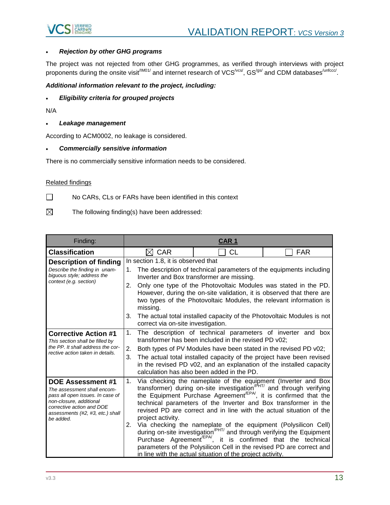

#### *Rejection by other GHG programs*

The project was not rejected from other GHG programmes, as verified through interviews with project proponents during the onsite visit<sup>/IM01/</sup> and internet research of VCS<sup>/vcs/</sup>, GS<sup>/gs/</sup> and CDM databases<sup>/unfccc/</sup>.

### *Additional information relevant to the project, including:*

*Eligibility criteria for grouped projects*

N/A

*Leakage management* 

According to ACM0002, no leakage is considered.

#### *Commercially sensitive information*

There is no commercially sensitive information needs to be considered.

## Related findings

- $\Box$ No CARs, CLs or FARs have been identified in this context
- $\boxtimes$ The following finding(s) have been addressed:

| Finding:                                                                                                                                                                                             | <b>CAR1</b>                                                                                                                                                                                                                                                                                                                                                                                                                                                                                                             |                                                                                                                                                                                                                                                                                                                                                                                                                                                                                                                                                                                                                                                                                                                                                   |            |  |
|------------------------------------------------------------------------------------------------------------------------------------------------------------------------------------------------------|-------------------------------------------------------------------------------------------------------------------------------------------------------------------------------------------------------------------------------------------------------------------------------------------------------------------------------------------------------------------------------------------------------------------------------------------------------------------------------------------------------------------------|---------------------------------------------------------------------------------------------------------------------------------------------------------------------------------------------------------------------------------------------------------------------------------------------------------------------------------------------------------------------------------------------------------------------------------------------------------------------------------------------------------------------------------------------------------------------------------------------------------------------------------------------------------------------------------------------------------------------------------------------------|------------|--|
| <b>Classification</b>                                                                                                                                                                                | $\boxtimes$ CAR                                                                                                                                                                                                                                                                                                                                                                                                                                                                                                         | <b>CL</b>                                                                                                                                                                                                                                                                                                                                                                                                                                                                                                                                                                                                                                                                                                                                         | <b>FAR</b> |  |
| <b>Description of finding</b><br>Describe the finding in unam-<br>biquous style; address the<br>context (e.g. section)                                                                               | In section 1.8, it is observed that<br>The description of technical parameters of the equipments including<br>1.<br>Inverter and Box transformer are missing.<br>2.<br>Only one type of the Photovoltaic Modules was stated in the PD.<br>However, during the on-site validation, it is observed that there are<br>two types of the Photovoltaic Modules, the relevant information is<br>missing.<br>The actual total installed capacity of the Photovoltaic Modules is not<br>3.<br>correct via on-site investigation. |                                                                                                                                                                                                                                                                                                                                                                                                                                                                                                                                                                                                                                                                                                                                                   |            |  |
| <b>Corrective Action #1</b><br>This section shall be filled by<br>the PP. It shall address the cor-<br>rective action taken in details.                                                              | 1.<br>The description of technical parameters of inverter and box<br>transformer has been included in the revised PD v02;<br>2.<br>Both types of PV Modules have been stated in the revised PD v02;<br>3.<br>The actual total installed capacity of the project have been revised<br>in the revised PD v02, and an explanation of the installed capacity<br>calculation has also been added in the PD.                                                                                                                  |                                                                                                                                                                                                                                                                                                                                                                                                                                                                                                                                                                                                                                                                                                                                                   |            |  |
| <b>DOE Assessment #1</b><br>The assessment shall encom-<br>pass all open issues. In case of<br>non-closure, additional<br>corrective action and DOE<br>assessments (#2, #3, etc.) shall<br>be added. | 1.<br>project activity.<br>2.                                                                                                                                                                                                                                                                                                                                                                                                                                                                                           | Via checking the nameplate of the equipment (Inverter and Box<br>transformer) during on-site investigation <sup>/PHT/</sup> and through verifying<br>the Equipment Purchase Agreement <sup>EPA</sup> , it is confirmed that the<br>technical parameters of the Inverter and Box transformer in the<br>revised PD are correct and in line with the actual situation of the<br>Via checking the nameplate of the equipment (Polysilicon Cell)<br>during on-site investigation <sup>/PHT/</sup> and through verifying the Equipment<br>Purchase Agreement <sup>/EPA</sup> , it is confirmed that the technical<br>parameters of the Polysilicon Cell in the revised PD are correct and<br>in line with the actual situation of the project activity. |            |  |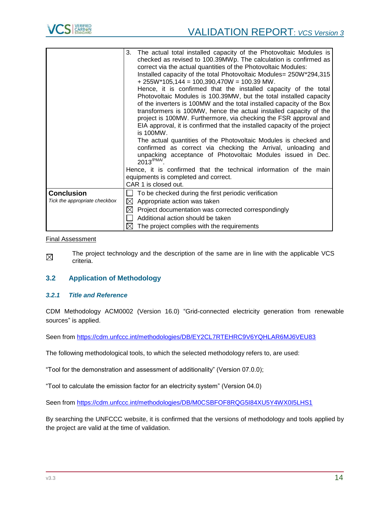

|                               | 3. The actual total installed capacity of the Photovoltaic Modules is<br>checked as revised to 100.39MWp. The calculation is confirmed as<br>correct via the actual quantities of the Photovoltaic Modules:<br>Installed capacity of the total Photovoltaic Modules= 250W*294,315<br>$+ 255W^*105,144 = 100,390,470W = 100.39 MW.$<br>Hence, it is confirmed that the installed capacity of the total<br>Photovoltaic Modules is 100.39MW, but the total installed capacity<br>of the inverters is 100MW and the total installed capacity of the Box<br>transformers is 100MW, hence the actual installed capacity of the<br>project is 100MW. Furthermore, via checking the FSR approval and<br>EIA approval, it is confirmed that the installed capacity of the project<br>is 100MW.<br>The actual quantities of the Photovoltaic Modules is checked and<br>confirmed as correct via checking the Arrival, unloading and<br>unpacking acceptance of Photovoltaic Modules issued in Dec.<br>$2013^{/PMA'}$ .<br>Hence, it is confirmed that the technical information of the main<br>equipments is completed and correct.<br>CAR 1 is closed out. |  |
|-------------------------------|----------------------------------------------------------------------------------------------------------------------------------------------------------------------------------------------------------------------------------------------------------------------------------------------------------------------------------------------------------------------------------------------------------------------------------------------------------------------------------------------------------------------------------------------------------------------------------------------------------------------------------------------------------------------------------------------------------------------------------------------------------------------------------------------------------------------------------------------------------------------------------------------------------------------------------------------------------------------------------------------------------------------------------------------------------------------------------------------------------------------------------------------------|--|
| <b>Conclusion</b>             | To be checked during the first periodic verification                                                                                                                                                                                                                                                                                                                                                                                                                                                                                                                                                                                                                                                                                                                                                                                                                                                                                                                                                                                                                                                                                               |  |
| Tick the appropriate checkbox | $\boxtimes$<br>Appropriate action was taken                                                                                                                                                                                                                                                                                                                                                                                                                                                                                                                                                                                                                                                                                                                                                                                                                                                                                                                                                                                                                                                                                                        |  |
|                               | $\boxtimes$<br>Project documentation was corrected correspondingly                                                                                                                                                                                                                                                                                                                                                                                                                                                                                                                                                                                                                                                                                                                                                                                                                                                                                                                                                                                                                                                                                 |  |
|                               | Additional action should be taken<br>$\bowtie$<br>The project complies with the requirements                                                                                                                                                                                                                                                                                                                                                                                                                                                                                                                                                                                                                                                                                                                                                                                                                                                                                                                                                                                                                                                       |  |

#### Final Assessment

The project technology and the description of the same are in line with the applicable VCS  $\boxtimes$ criteria.

### <span id="page-13-0"></span>**3.2 Application of Methodology**

### <span id="page-13-1"></span>*3.2.1 Title and Reference*

CDM Methodology ACM0002 (Version 16.0) "Grid-connected electricity generation from renewable sources" is applied.

Seen from<https://cdm.unfccc.int/methodologies/DB/EY2CL7RTEHRC9V6YQHLAR6MJ6VEU83>

The following methodological tools, to which the selected methodology refers to, are used:

"Tool for the demonstration and assessment of additionality" (Version 07.0.0);

"Tool to calculate the emission factor for an electricity system" (Version 04.0)

Seen from<https://cdm.unfccc.int/methodologies/DB/M0CSBFOF8RQG5I84XU5Y4WX0I5LHS1>

By searching the UNFCCC website, it is confirmed that the versions of methodology and tools applied by the project are valid at the time of validation.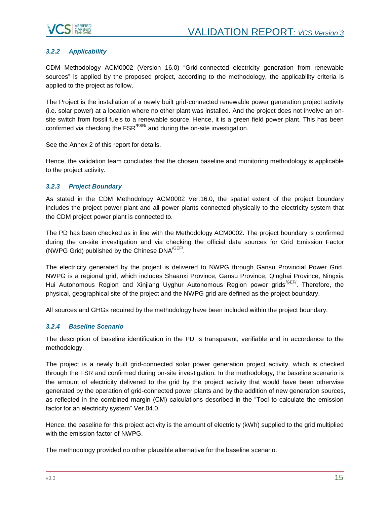

## <span id="page-14-0"></span>*3.2.2 Applicability*

CDM Methodology ACM0002 (Version 16.0) "Grid-connected electricity generation from renewable sources" is applied by the proposed project, according to the methodology, the applicability criteria is applied to the project as follow,

The Project is the installation of a newly built grid-connected renewable power generation project activity (i.e. solar power) at a location where no other plant was installed. And the project does not involve an onsite switch from fossil fuels to a renewable source. Hence, it is a green field power plant. This has been confirmed via checking the  $FSR/FSR$  and during the on-site investigation.

See the Annex 2 of this report for details.

Hence, the validation team concludes that the chosen baseline and monitoring methodology is applicable to the project activity.

### <span id="page-14-1"></span>*3.2.3 Project Boundary*

As stated in the CDM Methodology ACM0002 Ver.16.0, the spatial extent of the project boundary includes the project power plant and all power plants connected physically to the electricity system that the CDM project power plant is connected to.

The PD has been checked as in line with the Methodology ACM0002. The project boundary is confirmed during the on-site investigation and via checking the official data sources for Grid Emission Factor (NWPG Grid) published by the Chinese DNA<sup>/GEF/</sup>.

The electricity generated by the project is delivered to NWPG through Gansu Provincial Power Grid. NWPG is a regional grid, which includes Shaanxi Province, Gansu Province, Qinghai Province, Ningxia Hui Autonomous Region and Xinjiang Uyghur Autonomous Region power grids<sup>/GEF/</sup>. Therefore, the physical, geographical site of the project and the NWPG grid are defined as the project boundary.

All sources and GHGs required by the methodology have been included within the project boundary.

### <span id="page-14-2"></span>*3.2.4 Baseline Scenario*

The description of baseline identification in the PD is transparent, verifiable and in accordance to the methodology.

The project is a newly built grid-connected solar power generation project activity, which is checked through the FSR and confirmed during on-site investigation. In the methodology, the baseline scenario is the amount of electricity delivered to the grid by the project activity that would have been otherwise generated by the operation of grid-connected power plants and by the addition of new generation sources, as reflected in the combined margin (CM) calculations described in the "Tool to calculate the emission factor for an electricity system" Ver.04.0.

Hence, the baseline for this project activity is the amount of electricity (kWh) supplied to the grid multiplied with the emission factor of NWPG.

The methodology provided no other plausible alternative for the baseline scenario.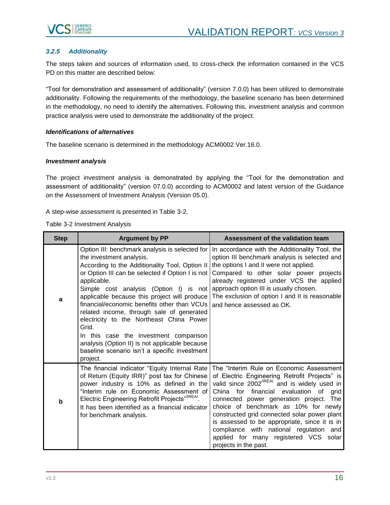

### <span id="page-15-0"></span>*3.2.5 Additionality*

The steps taken and sources of information used, to cross-check the information contained in the VCS PD on this matter are described below:

"Tool for demonstration and assessment of additionality" (version 7.0.0) has been utilized to demonstrate additionality. Following the requirements of the methodology, the baseline scenario has been determined in the methodology, no need to identify the alternatives. Following this, investment analysis and common practice analysis were used to demonstrate the additionality of the project.

#### *Identifications of alternatives*

The baseline scenario is determined in the methodology ACM0002 Ver.16.0.

#### *Investment analysis*

The project investment analysis is demonstrated by applying the "Tool for the demonstration and assessment of additionality" (version 07.0.0) according to ACM0002 and latest version of the Guidance on the Assessment of Investment Analysis (Version 05.0).

A step-wise assessment is presented in Table 3-2.

Table 3-2 Investment Analysis

| <b>Step</b> | <b>Argument by PP</b>                                                                                                                                                                                                                                                                                                                                                                                                                                                                                                                                                                                 | Assessment of the validation team                                                                                                                                                                                                                                                                                                                                                                                                                                                                   |
|-------------|-------------------------------------------------------------------------------------------------------------------------------------------------------------------------------------------------------------------------------------------------------------------------------------------------------------------------------------------------------------------------------------------------------------------------------------------------------------------------------------------------------------------------------------------------------------------------------------------------------|-----------------------------------------------------------------------------------------------------------------------------------------------------------------------------------------------------------------------------------------------------------------------------------------------------------------------------------------------------------------------------------------------------------------------------------------------------------------------------------------------------|
| a           | Option III: benchmark analysis is selected for  <br>the investment analysis.<br>According to the Additionality Tool, Option II<br>or Option III can be selected if Option I is not<br>applicable.<br>Simple cost analysis (Option I) is not<br>applicable because this project will produce<br>financial/economic benefits other than VCUs<br>related income, through sale of generated<br>electricity to the Northeast China Power<br>Grid.<br>In this case the investment comparison<br>analysis (Option II) is not applicable because<br>baseline scenario isn't a specific investment<br>project. | In accordance with the Additionality Tool, the<br>option III benchmark analysis is selected and<br>the options I and II were not applied.<br>Compared to other solar power projects<br>already registered under VCS the applied<br>approach option III is usually chosen.<br>The exclusion of option I and II is reasonable<br>and hence assessed as OK.                                                                                                                                            |
| b           | The financial indicator "Equity Internal Rate<br>of Return (Equity IRR)" post tax for Chinese<br>power industry is 10% as defined in the<br>"Interim rule on Economic Assessment of<br>Electric Engineering Retrofit Projects"/IREA/.<br>It has been identified as a financial indicator<br>for benchmark analysis.                                                                                                                                                                                                                                                                                   | The "Interim Rule on Economic Assessment<br>of Electric Engineering Retrofit Projects" is<br>valid since 2002 <sup>/IREA/</sup> and is widely used in<br>China for financial<br>evaluation of grid<br>connected power generation project. The<br>choice of benchmark as 10% for newly<br>constructed grid connected solar power plant<br>is assessed to be appropriate, since it is in<br>compliance with national regulation and<br>applied for many registered VCS solar<br>projects in the past. |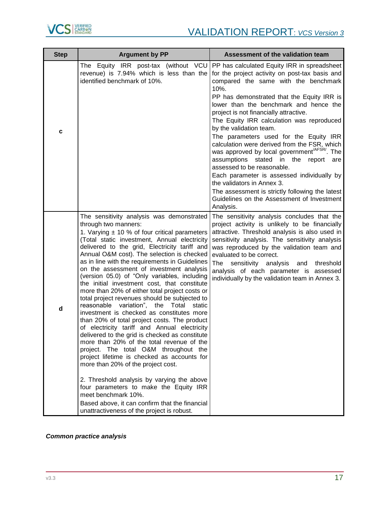

| <b>Step</b> | <b>Argument by PP</b>                                                                                                                                                                                                                                                                                                                                                                                                                                                                                                                                                                                                                                                                                                                                                                                                                                                                                                                                                                                                                                                                                                                                                                                      | Assessment of the validation team                                                                                                                                                                                                                                                                                                                                                                                                                                                                                                                                                                                                                                                                                                                                                |
|-------------|------------------------------------------------------------------------------------------------------------------------------------------------------------------------------------------------------------------------------------------------------------------------------------------------------------------------------------------------------------------------------------------------------------------------------------------------------------------------------------------------------------------------------------------------------------------------------------------------------------------------------------------------------------------------------------------------------------------------------------------------------------------------------------------------------------------------------------------------------------------------------------------------------------------------------------------------------------------------------------------------------------------------------------------------------------------------------------------------------------------------------------------------------------------------------------------------------------|----------------------------------------------------------------------------------------------------------------------------------------------------------------------------------------------------------------------------------------------------------------------------------------------------------------------------------------------------------------------------------------------------------------------------------------------------------------------------------------------------------------------------------------------------------------------------------------------------------------------------------------------------------------------------------------------------------------------------------------------------------------------------------|
| c           | The Equity IRR post-tax (without VCU<br>revenue) is 7.94% which is less than the<br>identified benchmark of 10%.                                                                                                                                                                                                                                                                                                                                                                                                                                                                                                                                                                                                                                                                                                                                                                                                                                                                                                                                                                                                                                                                                           | PP has calculated Equity IRR in spreadsheet<br>for the project activity on post-tax basis and<br>compared the same with the benchmark<br>10%.<br>PP has demonstrated that the Equity IRR is<br>lower than the benchmark and hence the<br>project is not financially attractive.<br>The Equity IRR calculation was reproduced<br>by the validation team.<br>The parameters used for the Equity IRR<br>calculation were derived from the FSR, which<br>was approved by local government <sup>/AFSR/</sup> . The<br>assumptions stated in the<br>report are<br>assessed to be reasonable.<br>Each parameter is assessed individually by<br>the validators in Annex 3.<br>The assessment is strictly following the latest<br>Guidelines on the Assessment of Investment<br>Analysis. |
| d           | The sensitivity analysis was demonstrated<br>through two manners:<br>1. Varying $\pm$ 10 % of four critical parameters<br>(Total static investment, Annual electricity<br>delivered to the grid, Electricity tariff and<br>Annual O&M cost). The selection is checked<br>as in line with the requirements in Guidelines<br>on the assessment of investment analysis<br>(version 05.0) of "Only variables, including<br>the initial investment cost, that constitute<br>more than 20% of either total project costs or<br>total project revenues should be subjected to<br>reasonable variation", the Total static<br>investment is checked as constitutes more<br>than 20% of total project costs. The product<br>of electricity tariff and Annual electricity<br>delivered to the grid is checked as constitute<br>more than 20% of the total revenue of the<br>project. The total O&M throughout the<br>project lifetime is checked as accounts for<br>more than 20% of the project cost.<br>2. Threshold analysis by varying the above<br>four parameters to make the Equity IRR<br>meet benchmark 10%.<br>Based above, it can confirm that the financial<br>unattractiveness of the project is robust. | The sensitivity analysis concludes that the<br>project activity is unlikely to be financially<br>attractive. Threshold analysis is also used in<br>sensitivity analysis. The sensitivity analysis<br>was reproduced by the validation team and<br>evaluated to be correct.<br>The<br>sensitivity analysis and<br>threshold<br>analysis of each parameter is assessed<br>individually by the validation team in Annex 3.                                                                                                                                                                                                                                                                                                                                                          |

## *Common practice analysis*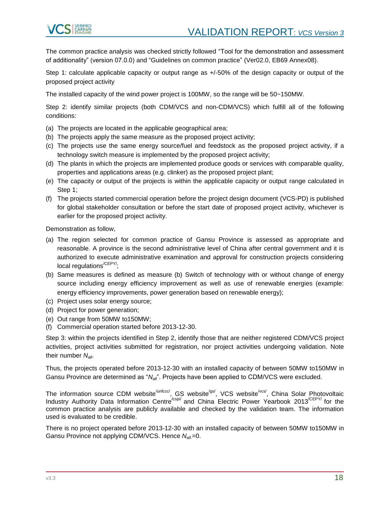

The common practice analysis was checked strictly followed "Tool for the demonstration and assessment of additionality" (version 07.0.0) and "Guidelines on common practice" (Ver02.0, EB69 Annex08).

Step 1: calculate applicable capacity or output range as +/-50% of the design capacity or output of the proposed project activity

The installed capacity of the wind power project is 100MW, so the range will be 50~150MW.

Step 2: identify similar projects (both CDM/VCS and non-CDM/VCS) which fulfill all of the following conditions:

- (a) The projects are located in the applicable geographical area;
- (b) The projects apply the same measure as the proposed project activity;
- (c) The projects use the same energy source/fuel and feedstock as the proposed project activity, if a technology switch measure is implemented by the proposed project activity;
- (d) The plants in which the projects are implemented produce goods or services with comparable quality, properties and applications areas (e.g. clinker) as the proposed project plant;
- (e) The capacity or output of the projects is within the applicable capacity or output range calculated in Step 1;
- (f) The projects started commercial operation before the project design document (VCS-PD) is published for global stakeholder consultation or before the start date of proposed project activity, whichever is earlier for the proposed project activity.

Demonstration as follow,

- (a) The region selected for common practice of Gansu Province is assessed as appropriate and reasonable. A province is the second administrative level of China after central government and it is authorized to execute administrative examination and approval for construction projects considering local regulations<sup>/CEPY/</sup>:
- (b) Same measures is defined as measure (b) Switch of technology with or without change of energy source including energy efficiency improvement as well as use of renewable energies (example: energy efficiency improvements, power generation based on renewable energy);
- (c) Project uses solar energy source;
- (d) Project for power generation;
- (e) Out range from 50MW to150MW;
- (f) Commercial operation started before 2013-12-30.

Step 3: within the projects identified in Step 2, identify those that are neither registered CDM/VCS project activities, project activities submitted for registration, nor project activities undergoing validation. Note their number *Nall*.

Thus, the projects operated before 2013-12-30 with an installed capacity of between 50MW to150MW in Gansu Province are determined as "*Nall*". Projects have been applied to CDM/VCS were excluded.

The information source CDM website<sup>/unfccc/</sup>, GS website<sup>/gs/</sup>, VCS website<sup>/vcs/</sup>, China Solar Photovoltaic Industry Authority Data Information Centre<sup>/cspi/</sup> and China Electric Power Yearbook 2013<sup>/CEPY/</sup> for the common practice analysis are publicly available and checked by the validation team. The information used is evaluated to be credible.

There is no project operated before 2013-12-30 with an installed capacity of between 50MW to150MW in Gansu Province not applying CDM/VCS. Hence  $N_{all}=0$ .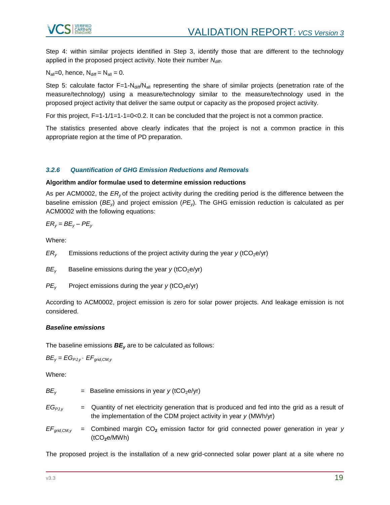

Step 4: within similar projects identified in Step 3, identify those that are different to the technology applied in the proposed project activity. Note their number *Ndiff*.

 $N_{\text{all}}=0$ , hence,  $N_{\text{diff}} = N_{\text{all}} = 0$ .

Step 5: calculate factor F=1-N<sub>diff</sub>/N<sub>all</sub> representing the share of similar projects (penetration rate of the measure/technology) using a measure/technology similar to the measure/technology used in the proposed project activity that deliver the same output or capacity as the proposed project activity.

For this project, F=1-1/1=1-1=0<0.2. It can be concluded that the project is not a common practice.

The statistics presented above clearly indicates that the project is not a common practice in this appropriate region at the time of PD preparation.

### <span id="page-18-0"></span>*3.2.6 Quantification of GHG Emission Reductions and Removals*

#### **Algorithm and/or formulae used to determine emission reductions**

As per ACM0002, the *ER<sup>y</sup>* of the project activity during the crediting period is the difference between the baseline emission (*BEy*) and project emission (*PEy*). The GHG emission reduction is calculated as per ACM0002 with the following equations:

 $ER_v = BE_v - PE_v$ 

Where:

 $ER<sub>y</sub>$  Emissions reductions of the project activity during the year *y* (tCO<sub>2</sub>e/yr)

 $BE<sub>v</sub>$  Baseline emissions during the year *y* (tCO<sub>2</sub>e/yr)

 $PE<sub>y</sub>$  Project emissions during the year *y* (tCO<sub>2</sub>e/yr)

According to ACM0002, project emission is zero for solar power projects. And leakage emission is not considered.

#### *Baseline emissions*

The baseline emissions *BE<sup>y</sup>* are to be calculated as follows:

 $BE_v = EG_{PJ,v} \cdot EF_{grid,CM, v}$ 

Where:

 $BE<sub>v</sub>$  = Baseline emissions in year *y* (tCO<sub>2</sub>e/yr) *EGPJ,y* = Quantity of net electricity generation that is produced and fed into the grid as a result of the implementation of the CDM project activity in year *y* (MWh/yr)

 $EF_{\text{grid},CMy}$  = Combined margin  $CO_2$  emission factor for grid connected power generation in year *y* (tCO**2**e/MWh)

The proposed project is the installation of a new grid-connected solar power plant at a site where no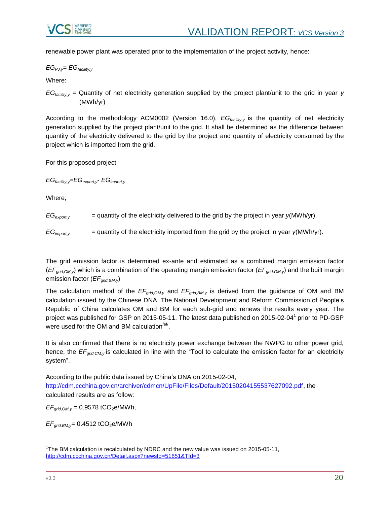

renewable power plant was operated prior to the implementation of the project activity, hence:

*EGPJ,y*= *EGfacility,y*

Where:

*EGfacility,y* = Quantity of net electricity generation supplied by the project plant/unit to the grid in year *y*  (MWh/yr)

According to the methodology ACM0002 (Version 16.0), *EGfacility,y* is the quantity of net electricity generation supplied by the project plant/unit to the grid. It shall be determined as the difference between quantity of the electricity delivered to the grid by the project and quantity of electricity consumed by the project which is imported from the grid.

For this proposed project

*EGfacility,y*=*EGexport,y*- *EGimport,y*

Where,

 $EG_{export}$  = quantity of the electricity delivered to the grid by the project in year  $y(MWh/yr)$ .

 $EG_{\text{imootv}}$  = quantity of the electricity imported from the grid by the project in year  $y(MWh/yr)$ .

The grid emission factor is determined ex-ante and estimated as a combined margin emission factor (*EFgrid,CM,y*) which is a combination of the operating margin emission factor (*EFgrid,OM,y*) and the built margin emission factor (*EFgrid,BM,y*)

The calculation method of the *EFgrid,OM,y* and *EFgrid,BM,y* is derived from the guidance of OM and BM calculation issued by the Chinese DNA. The National Development and Reform Commission of People's Republic of China calculates OM and BM for each sub-grid and renews the results every year. The project was published for GSP on 2015-05-11. The latest data published on 2015-02-04<sup>1</sup> prior to PD-GSP were used for the OM and BM calculation<sup>/ef/</sup>.

It is also confirmed that there is no electricity power exchange between the NWPG to other power grid, hence, the *EFgrid,CM,y* is calculated in line with the "Tool to calculate the emission factor for an electricity system".

According to the public data issued by China's DNA on 2015-02-04, [http://cdm.ccchina.gov.cn/archiver/cdmcn/UpFile/Files/Default/20150204155537627092.pdf,](http://cdm.ccchina.gov.cn/archiver/cdmcn/UpFile/Files/Default/20150204155537627092.pdf) the calculated results are as follow:

 $EF_{grid,OM, v} = 0.9578 \text{ tCO}_2 \text{e}/\text{MWh},$ 

 $EF_{grid,BM,v}$ = 0.4512 tCO<sub>2</sub>e/MWh

l

<sup>&</sup>lt;sup>1</sup>The BM calculation is recalculated by NDRC and the new value was issued on 2015-05-11, <http://cdm.ccchina.gov.cn/Detail.aspx?newsId=51651&TId=3>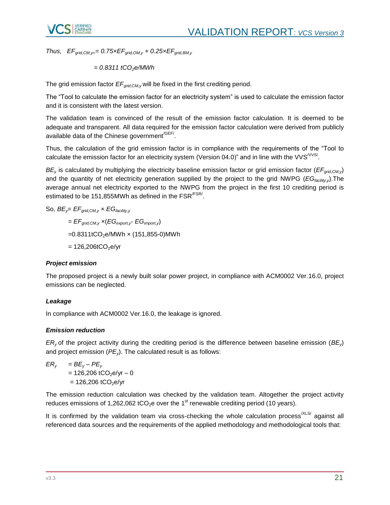

*Thus, EFgrid,CM,y== 0.75×EFgrid,OM,y + 0.25×EFgrid,BM,y*

$$
= 0.8311 tCO2e/MWh
$$

The grid emission factor *EFgrid,CM,y* will be fixed in the first crediting period.

The "Tool to calculate the emission factor for an electricity system" is used to calculate the emission factor and it is consistent with the latest version.

The validation team is convinced of the result of the emission factor calculation. It is deemed to be adequate and transparent. All data required for the emission factor calculation were derived from publicly available data of the Chinese government<sup>/GEF/</sup>.

Thus, the calculation of the grid emission factor is in compliance with the requirements of the "Tool to calculate the emission factor for an electricity system (Version 04.0)" and in line with the VVS<sup>/VVS/</sup>.

*BE<sup>y</sup>* is calculated by multiplying the electricity baseline emission factor or grid emission factor (*EFgrid,CM,y*) and the quantity of net electricity generation supplied by the project to the grid NWPG (*EGfacility,y*).The average annual net electricity exported to the NWPG from the project in the first 10 crediting period is estimated to be 151,855MWh as defined in the  $\mathsf{FSR}^{\mathsf{/FSR}\mathsf{/}}$ .

So, *BEy*= *EFgrid,CM,y* × *EGfacility,y*

$$
= EF_{grid, CM, y} \times (EG_{export, y} \cdot EG_{import, y})
$$

 $=0.8311$ tCO<sub>2</sub>e/MWh × (151,855-0)MWh

 $= 126,206tCO<sub>2</sub>e/yr$ 

### *Project emission*

The proposed project is a newly built solar power project, in compliance with ACM0002 Ver.16.0, project emissions can be neglected.

### *Leakage*

In compliance with ACM0002 Ver.16.0, the leakage is ignored.

### *Emission reduction*

*ER<sup>y</sup>* of the project activity during the crediting period is the difference between baseline emission (*BEy*) and project emission (*PEy*). The calculated result is as follows:

$$
ER_y = BE_y - PE_y
$$
  
= 126,206 tCO<sub>2</sub>e/yr - 0  
= 126,206 tCO<sub>2</sub>e/yr

The emission reduction calculation was checked by the validation team. Altogether the project activity reduces emissions of 1,262,062 tCO<sub>2</sub>e over the 1<sup>st</sup> renewable crediting period (10 years).

It is confirmed by the validation team via cross-checking the whole calculation process<sup>/XLS/</sup> against all referenced data sources and the requirements of the applied methodology and methodological tools that: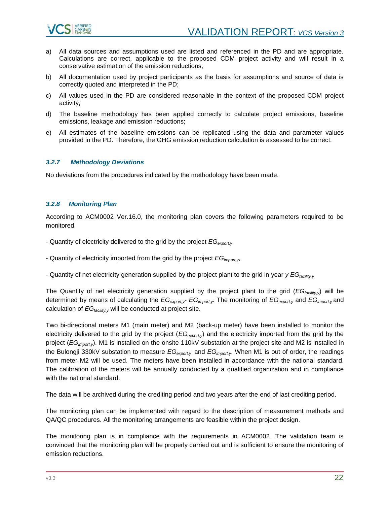

- a) All data sources and assumptions used are listed and referenced in the PD and are appropriate. Calculations are correct, applicable to the proposed CDM project activity and will result in a conservative estimation of the emission reductions;
- b) All documentation used by project participants as the basis for assumptions and source of data is correctly quoted and interpreted in the PD;
- c) All values used in the PD are considered reasonable in the context of the proposed CDM project activity;
- d) The baseline methodology has been applied correctly to calculate project emissions, baseline emissions, leakage and emission reductions;
- e) All estimates of the baseline emissions can be replicated using the data and parameter values provided in the PD. Therefore, the GHG emission reduction calculation is assessed to be correct.

#### <span id="page-21-0"></span>*3.2.7 Methodology Deviations*

No deviations from the procedures indicated by the methodology have been made.

#### <span id="page-21-1"></span>*3.2.8 Monitoring Plan*

According to ACM0002 Ver.16.0, the monitoring plan covers the following parameters required to be monitored,

- Quantity of electricity delivered to the grid by the project *EGexport,y*,
- Quantity of electricity imported from the grid by the project *EGimport,y*,
- Quantity of net electricity generation supplied by the project plant to the grid in year *y EGfacility,y*

The Quantity of net electricity generation supplied by the project plant to the grid (*EGfacility,y*) will be determined by means of calculating the *EGexport,y*- *EGimport,y*. The monitoring of *EGexport,y* and *EGimport,y* and calculation of  $EG<sub>facility.v</sub>$  will be conducted at project site.

Two bi-directional meters M1 (main meter) and M2 (back-up meter) have been installed to monitor the electricity delivered to the grid by the project (*EGexport,y*) and the electricity imported from the grid by the project (*EGimport,y*). M1 is installed on the onsite 110kV substation at the project site and M2 is installed in the Bulongji 330kV substation to measure *EGexport,y* and *EGimport,y*. When M1 is out of order, the readings from meter M2 will be used. The meters have been installed in accordance with the national standard. The calibration of the meters will be annually conducted by a qualified organization and in compliance with the national standard.

The data will be archived during the crediting period and two years after the end of last crediting period.

The monitoring plan can be implemented with regard to the description of measurement methods and QA/QC procedures. All the monitoring arrangements are feasible within the project design.

The monitoring plan is in compliance with the requirements in ACM0002. The validation team is convinced that the monitoring plan will be properly carried out and is sufficient to ensure the monitoring of emission reductions.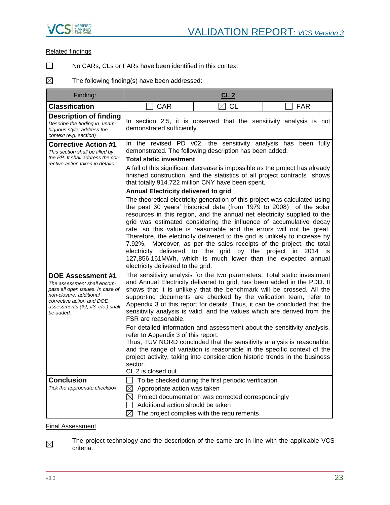

#### Related findings

 $\Box$ 

No CARs, CLs or FARs have been identified in this context

 $\boxtimes$ The following finding(s) have been addressed:

| Finding:                                                                                                                                                                                             |                                                                                                                                                                                                                                                                                                                                                                                                                                                                                                                                                                                                                                                                                                                                                                                                                                                                          | CL <sub>2</sub>                                                                                                                                                                                                                                                                                                                                                                                                                 |            |  |  |
|------------------------------------------------------------------------------------------------------------------------------------------------------------------------------------------------------|--------------------------------------------------------------------------------------------------------------------------------------------------------------------------------------------------------------------------------------------------------------------------------------------------------------------------------------------------------------------------------------------------------------------------------------------------------------------------------------------------------------------------------------------------------------------------------------------------------------------------------------------------------------------------------------------------------------------------------------------------------------------------------------------------------------------------------------------------------------------------|---------------------------------------------------------------------------------------------------------------------------------------------------------------------------------------------------------------------------------------------------------------------------------------------------------------------------------------------------------------------------------------------------------------------------------|------------|--|--|
| <b>Classification</b>                                                                                                                                                                                | <b>CAR</b>                                                                                                                                                                                                                                                                                                                                                                                                                                                                                                                                                                                                                                                                                                                                                                                                                                                               | $\boxtimes$ CL                                                                                                                                                                                                                                                                                                                                                                                                                  | <b>FAR</b> |  |  |
| <b>Description of finding</b><br>Describe the finding in unam-<br>biquous style; address the<br>context (e.g. section)                                                                               | In section 2.5, it is observed that the sensitivity analysis is not<br>demonstrated sufficiently.                                                                                                                                                                                                                                                                                                                                                                                                                                                                                                                                                                                                                                                                                                                                                                        |                                                                                                                                                                                                                                                                                                                                                                                                                                 |            |  |  |
| <b>Corrective Action #1</b><br>This section shall be filled by<br>the PP. It shall address the cor-<br>rective action taken in details.                                                              | In the revised PD v02, the sensitivity analysis has been fully<br>demonstrated. The following description has been added:<br><b>Total static investment</b><br>A fall of this significant decrease is impossible as the project has already<br>finished construction, and the statistics of all project contracts shows<br>that totally 914.722 million CNY have been spent.<br>Annual Electricity delivered to grid<br>The theoretical electricity generation of this project was calculated using<br>the past 30 years' historical data (from 1979 to 2008) of the solar<br>resources in this region, and the annual net electricity supplied to the                                                                                                                                                                                                                   |                                                                                                                                                                                                                                                                                                                                                                                                                                 |            |  |  |
|                                                                                                                                                                                                      | electricity delivered to the grid.                                                                                                                                                                                                                                                                                                                                                                                                                                                                                                                                                                                                                                                                                                                                                                                                                                       | grid was estimated considering the influence of accumulative decay<br>rate, so this value is reasonable and the errors will not be great.<br>Therefore, the electricity delivered to the grid is unlikely to increase by<br>7.92%. Moreover, as per the sales receipts of the project, the total<br>electricity delivered to the grid by the project in 2014 is<br>127,856.161MWh, which is much lower than the expected annual |            |  |  |
| <b>DOE Assessment #1</b><br>The assessment shall encom-<br>pass all open issues. In case of<br>non-closure, additional<br>corrective action and DOE<br>assessments (#2, #3, etc.) shall<br>be added. | The sensitivity analysis for the two parameters, Total static investment<br>and Annual Electricity delivered to grid, has been added in the PDD. It<br>shows that it is unlikely that the benchmark will be crossed. All the<br>supporting documents are checked by the validation team, refer to<br>Appendix 3 of this report for details. Thus, it can be concluded that the<br>sensitivity analysis is valid, and the values which are derived from the<br>FSR are reasonable.<br>For detailed information and assessment about the sensitivity analysis,<br>refer to Appendix 3 of this report.<br>Thus, TÜV NORD concluded that the sensitivity analysis is reasonable,<br>and the range of variation is reasonable in the specific context of the<br>project activity, taking into consideration historic trends in the business<br>sector.<br>CL 2 is closed out. |                                                                                                                                                                                                                                                                                                                                                                                                                                 |            |  |  |
| <b>Conclusion</b><br>Tick the appropriate checkbox                                                                                                                                                   | $\boxtimes$<br>Appropriate action was taken<br>$\boxtimes$<br>Additional action should be taken<br>⊠                                                                                                                                                                                                                                                                                                                                                                                                                                                                                                                                                                                                                                                                                                                                                                     | To be checked during the first periodic verification<br>Project documentation was corrected correspondingly<br>The project complies with the requirements                                                                                                                                                                                                                                                                       |            |  |  |

#### Final Assessment

The project technology and the description of the same are in line with the applicable VCS  $\boxtimes$ criteria.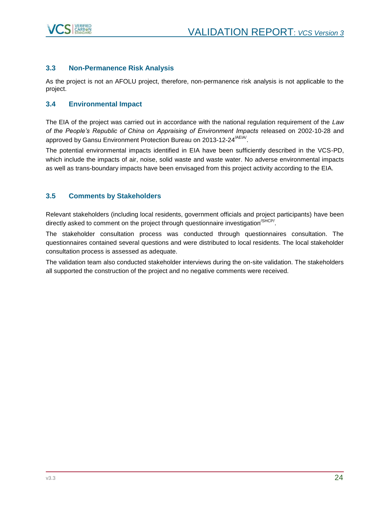

## <span id="page-23-0"></span>**3.3 Non-Permanence Risk Analysis**

As the project is not an AFOLU project, therefore, non-permanence risk analysis is not applicable to the project.

### <span id="page-23-1"></span>**3.4 Environmental Impact**

The EIA of the project was carried out in accordance with the national regulation requirement of the *Law of the People's Republic of China on Appraising of Environment Impacts* released on 2002-10-28 and approved by Gansu Environment Protection Bureau on 2013-12-24<sup>/AEIA/</sup>.

The potential environmental impacts identified in EIA have been sufficiently described in the VCS-PD, which include the impacts of air, noise, solid waste and waste water. No adverse environmental impacts as well as trans-boundary impacts have been envisaged from this project activity according to the EIA.

### <span id="page-23-2"></span>**3.5 Comments by Stakeholders**

Relevant stakeholders (including local residents, government officials and project participants) have been directly asked to comment on the project through questionnaire investigation<sup>/SHCP/</sup>.

The stakeholder consultation process was conducted through questionnaires consultation. The questionnaires contained several questions and were distributed to local residents. The local stakeholder consultation process is assessed as adequate.

The validation team also conducted stakeholder interviews during the on-site validation. The stakeholders all supported the construction of the project and no negative comments were received.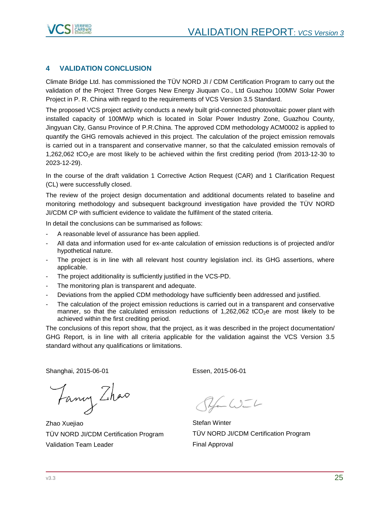

## <span id="page-24-0"></span>**4 VALIDATION CONCLUSION**

Climate Bridge Ltd. has commissioned the TÜV NORD JI / CDM Certification Program to carry out the validation of the Project [Three Gorges New Energy Jiuquan Co., Ltd Guazhou 100MW Solar Power](https://vcsprojectdatabase2.apx.com/myModule/Interactive.asp?Tab=Pipeline&a=3&i=1332&lat=29%2E7488416666667&lon=102%2E436547&bp=1)  [Project](https://vcsprojectdatabase2.apx.com/myModule/Interactive.asp?Tab=Pipeline&a=3&i=1332&lat=29%2E7488416666667&lon=102%2E436547&bp=1) in P. R. China with regard to the requirements of VCS Version 3.5 Standard.

The proposed VCS project activity conducts a newly built grid-connected photovoltaic power plant with installed capacity of 100MWp which is located in Solar Power Industry Zone, Guazhou County, Jingyuan City, Gansu Province of P.R.China. The approved CDM methodology ACM0002 is applied to quantify the GHG removals achieved in this project. The calculation of the project emission removals is carried out in a transparent and conservative manner, so that the calculated emission removals of 1,262,062 tCO2e are most likely to be achieved within the first crediting period (from 2013-12-30 to 2023-12-29).

In the course of the draft validation 1 Corrective Action Request (CAR) and 1 Clarification Request (CL) were successfully closed.

The review of the project design documentation and additional documents related to baseline and monitoring methodology and subsequent background investigation have provided the TÜV NORD JI/CDM CP with sufficient evidence to validate the fulfilment of the stated criteria.

In detail the conclusions can be summarised as follows:

- A reasonable level of assurance has been applied.
- All data and information used for ex-ante calculation of emission reductions is of projected and/or hypothetical nature.
- The project is in line with all relevant host country legislation incl. its GHG assertions, where applicable.
- The project additionality is sufficiently justified in the VCS-PD.
- The monitoring plan is transparent and adequate.
- Deviations from the applied CDM methodology have sufficiently been addressed and justified.
- The calculation of the project emission reductions is carried out in a transparent and conservative manner, so that the calculated emission reductions of 1,262,062 tCO<sub>2</sub>e are most likely to be achieved within the first crediting period.

The conclusions of this report show, that the project, as it was described in the project documentation/ GHG Report, is in line with all criteria applicable for the validation against the VCS Version 3.5 standard without any qualifications or limitations.

Shanghai, 2015-06-01 Essen, 2015-06-01

Fancy Zhao

Zhao Xuejiao TÜV NORD JI/CDM Certification Program Validation Team Leader

 $-C2 - C$ 

Stefan Winter TÜV NORD JI/CDM Certification Program Final Approval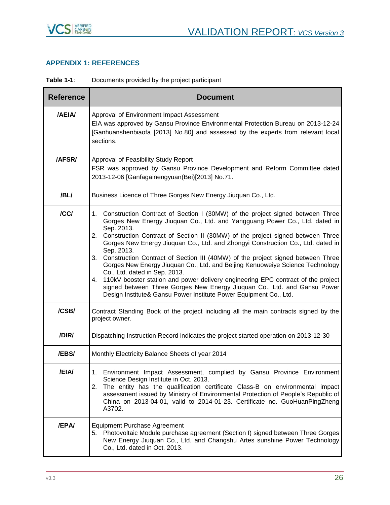

## <span id="page-25-0"></span>**APPENDIX 1: REFERENCES**

**Table 1-1**: Documents provided by the project participant

| <b>Reference</b> | <b>Document</b>                                                                                                                                                                                                                                                                                                                                                                                                                                                                                                                                                                                                                                                                                                                                                                                                    |  |  |  |
|------------------|--------------------------------------------------------------------------------------------------------------------------------------------------------------------------------------------------------------------------------------------------------------------------------------------------------------------------------------------------------------------------------------------------------------------------------------------------------------------------------------------------------------------------------------------------------------------------------------------------------------------------------------------------------------------------------------------------------------------------------------------------------------------------------------------------------------------|--|--|--|
| /AEIA/           | Approval of Environment Impact Assessment<br>EIA was approved by Gansu Province Environmental Protection Bureau on 2013-12-24<br>[Ganhuanshenbiaofa [2013] No.80] and assessed by the experts from relevant local<br>sections.                                                                                                                                                                                                                                                                                                                                                                                                                                                                                                                                                                                     |  |  |  |
| /AFSR/           | Approval of Feasibility Study Report<br>FSR was approved by Gansu Province Development and Reform Committee dated<br>2013-12-06 [Ganfagainengyuan(Bei)[2013] No.71.                                                                                                                                                                                                                                                                                                                                                                                                                                                                                                                                                                                                                                                |  |  |  |
| /BL/             | Business Licence of Three Gorges New Energy Jiuquan Co., Ltd.                                                                                                                                                                                                                                                                                                                                                                                                                                                                                                                                                                                                                                                                                                                                                      |  |  |  |
| /CC/             | 1. Construction Contract of Section I (30MW) of the project signed between Three<br>Gorges New Energy Jiuquan Co., Ltd. and Yangguang Power Co., Ltd. dated in<br>Sep. 2013.<br>2. Construction Contract of Section II (30MW) of the project signed between Three<br>Gorges New Energy Jiuquan Co., Ltd. and Zhongyi Construction Co., Ltd. dated in<br>Sep. 2013.<br>3. Construction Contract of Section III (40MW) of the project signed between Three<br>Gorges New Energy Jiuquan Co., Ltd. and Beijing Kenuoweiye Science Technology<br>Co., Ltd. dated in Sep. 2013.<br>4. 110kV booster station and power delivery engineering EPC contract of the project<br>signed between Three Gorges New Energy Jiuquan Co., Ltd. and Gansu Power<br>Design Institute& Gansu Power Institute Power Equipment Co., Ltd. |  |  |  |
| /CSB/            | Contract Standing Book of the project including all the main contracts signed by the<br>project owner.                                                                                                                                                                                                                                                                                                                                                                                                                                                                                                                                                                                                                                                                                                             |  |  |  |
| /DIR/            | Dispatching Instruction Record indicates the project started operation on 2013-12-30                                                                                                                                                                                                                                                                                                                                                                                                                                                                                                                                                                                                                                                                                                                               |  |  |  |
| /EBS/            | Monthly Electricity Balance Sheets of year 2014                                                                                                                                                                                                                                                                                                                                                                                                                                                                                                                                                                                                                                                                                                                                                                    |  |  |  |
| /EIA/            | 1. Environment Impact Assessment, complied by Gansu Province Environment<br>Science Design Institute in Oct. 2013.<br>The entity has the qualification certificate Class-B on environmental impact<br>2.<br>assessment issued by Ministry of Environmental Protection of People's Republic of<br>China on 2013-04-01, valid to 2014-01-23. Certificate no. GuoHuanPingZheng<br>A3702.                                                                                                                                                                                                                                                                                                                                                                                                                              |  |  |  |
| <b>/EPA/</b>     | <b>Equipment Purchase Agreement</b><br>5. Photovoltaic Module purchase agreement (Section I) signed between Three Gorges<br>New Energy Jiuquan Co., Ltd. and Changshu Artes sunshine Power Technology<br>Co., Ltd. dated in Oct. 2013.                                                                                                                                                                                                                                                                                                                                                                                                                                                                                                                                                                             |  |  |  |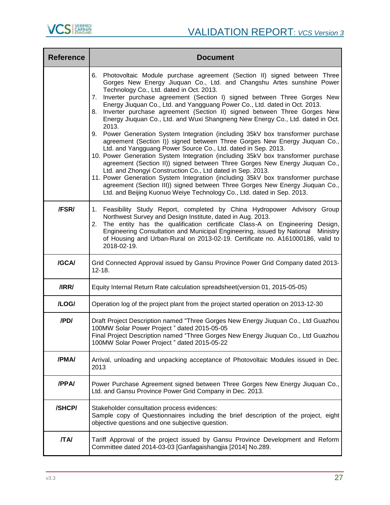

| <b>Reference</b> | <b>Document</b>                                                                                                                                                                                                                                                                                                                                                                                                                                                                                                                                                                                                                                                                                                                                                                                                                                                                                                                                                                                                                                                                                                                                                                                                                                               |
|------------------|---------------------------------------------------------------------------------------------------------------------------------------------------------------------------------------------------------------------------------------------------------------------------------------------------------------------------------------------------------------------------------------------------------------------------------------------------------------------------------------------------------------------------------------------------------------------------------------------------------------------------------------------------------------------------------------------------------------------------------------------------------------------------------------------------------------------------------------------------------------------------------------------------------------------------------------------------------------------------------------------------------------------------------------------------------------------------------------------------------------------------------------------------------------------------------------------------------------------------------------------------------------|
|                  | 6. Photovoltaic Module purchase agreement (Section II) signed between Three<br>Gorges New Energy Jiuquan Co., Ltd. and Changshu Artes sunshine Power<br>Technology Co., Ltd. dated in Oct. 2013.<br>Inverter purchase agreement (Section I) signed between Three Gorges New<br>7.<br>Energy Jiuquan Co., Ltd. and Yangguang Power Co., Ltd. dated in Oct. 2013.<br>Inverter purchase agreement (Section II) signed between Three Gorges New<br>8.<br>Energy Jiuquan Co., Ltd. and Wuxi Shangneng New Energy Co., Ltd. dated in Oct.<br>2013.<br>9. Power Generation System Integration (including 35kV box transformer purchase<br>agreement (Section I)) signed between Three Gorges New Energy Jiuquan Co.,<br>Ltd. and Yangguang Power Source Co., Ltd. dated in Sep. 2013.<br>10. Power Generation System Integration (including 35kV box transformer purchase<br>agreement (Section II)) signed between Three Gorges New Energy Jiuquan Co.,<br>Ltd. and Zhongyi Construction Co., Ltd dated in Sep. 2013.<br>11. Power Generation System Integration (including 35kV box transformer purchase<br>agreement (Section III)) signed between Three Gorges New Energy Jiuquan Co.,<br>Ltd. and Beijing Kuonuo Weiye Technology Co., Ltd. dated in Sep. 2013. |
| /FSR/            | Feasibility Study Report, completed by China Hydropower Advisory Group<br>1.<br>Northwest Survey and Design Institute, dated in Aug. 2013.<br>The entity has the qualification certificate Class-A on Engineering Design,<br>2.<br>Engineering Consultation and Municipal Engineering, issued by National<br>Ministry<br>of Housing and Urban-Rural on 2013-02-19. Certificate no. A161000186, valid to<br>2018-02-19.                                                                                                                                                                                                                                                                                                                                                                                                                                                                                                                                                                                                                                                                                                                                                                                                                                        |
| /GCA/            | Grid Connected Approval issued by Gansu Province Power Grid Company dated 2013-<br>$12 - 18.$                                                                                                                                                                                                                                                                                                                                                                                                                                                                                                                                                                                                                                                                                                                                                                                                                                                                                                                                                                                                                                                                                                                                                                 |
| /IRR/            | Equity Internal Return Rate calculation spreadsheet (version 01, 2015-05-05)                                                                                                                                                                                                                                                                                                                                                                                                                                                                                                                                                                                                                                                                                                                                                                                                                                                                                                                                                                                                                                                                                                                                                                                  |
| /LOG/            | Operation log of the project plant from the project started operation on 2013-12-30                                                                                                                                                                                                                                                                                                                                                                                                                                                                                                                                                                                                                                                                                                                                                                                                                                                                                                                                                                                                                                                                                                                                                                           |
| /PD/             | Draft Project Description named "Three Gorges New Energy Jiuquan Co., Ltd Guazhou<br>100MW Solar Power Project" dated 2015-05-05<br>Final Project Description named "Three Gorges New Energy Jiuquan Co., Ltd Guazhou<br>100MW Solar Power Project" dated 2015-05-22                                                                                                                                                                                                                                                                                                                                                                                                                                                                                                                                                                                                                                                                                                                                                                                                                                                                                                                                                                                          |
| /PMA/            | Arrival, unloading and unpacking acceptance of Photovoltaic Modules issued in Dec.<br>2013                                                                                                                                                                                                                                                                                                                                                                                                                                                                                                                                                                                                                                                                                                                                                                                                                                                                                                                                                                                                                                                                                                                                                                    |
| /PPA/            | Power Purchase Agreement signed between Three Gorges New Energy Jiuquan Co.,<br>Ltd. and Gansu Province Power Grid Company in Dec. 2013.                                                                                                                                                                                                                                                                                                                                                                                                                                                                                                                                                                                                                                                                                                                                                                                                                                                                                                                                                                                                                                                                                                                      |
| /SHCP/           | Stakeholder consultation process evidences:<br>Sample copy of Questionnaires including the brief description of the project, eight<br>objective questions and one subjective question.                                                                                                                                                                                                                                                                                                                                                                                                                                                                                                                                                                                                                                                                                                                                                                                                                                                                                                                                                                                                                                                                        |
| <b>TAI</b>       | Tariff Approval of the project issued by Gansu Province Development and Reform<br>Committee dated 2014-03-03 [Ganfagaishangjia [2014] No.289.                                                                                                                                                                                                                                                                                                                                                                                                                                                                                                                                                                                                                                                                                                                                                                                                                                                                                                                                                                                                                                                                                                                 |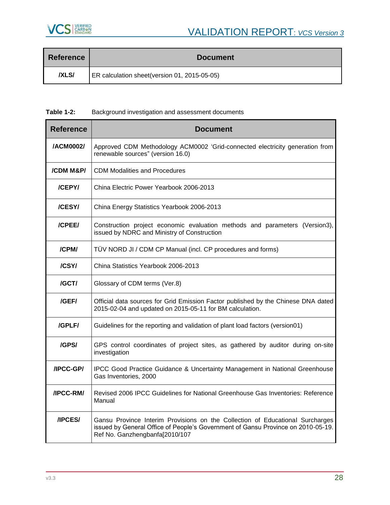

| <b>Reference</b> | <b>Document</b>                              |
|------------------|----------------------------------------------|
| <b>IXLSI</b>     | ER calculation sheet(version 01, 2015-05-05) |

**Table 1-2:** Background investigation and assessment documents

| <b>Reference</b> | <b>Document</b>                                                                                                                                                                                     |
|------------------|-----------------------------------------------------------------------------------------------------------------------------------------------------------------------------------------------------|
| /ACM0002/        | Approved CDM Methodology ACM0002 'Grid-connected electricity generation from<br>renewable sources" (version 16.0)                                                                                   |
| /CDM M&P/        | <b>CDM Modalities and Procedures</b>                                                                                                                                                                |
| /CEPY/           | China Electric Power Yearbook 2006-2013                                                                                                                                                             |
| /CESY/           | China Energy Statistics Yearbook 2006-2013                                                                                                                                                          |
| /CPEE/           | Construction project economic evaluation methods and parameters (Version3),<br>issued by NDRC and Ministry of Construction                                                                          |
| /CPM/            | TÜV NORD JI / CDM CP Manual (incl. CP procedures and forms)                                                                                                                                         |
| /CSY/            | China Statistics Yearbook 2006-2013                                                                                                                                                                 |
| /GCT/            | Glossary of CDM terms (Ver.8)                                                                                                                                                                       |
| /GEF/            | Official data sources for Grid Emission Factor published by the Chinese DNA dated<br>2015-02-04 and updated on 2015-05-11 for BM calculation.                                                       |
| /GPLF/           | Guidelines for the reporting and validation of plant load factors (version01)                                                                                                                       |
| /GPS/            | GPS control coordinates of project sites, as gathered by auditor during on-site<br>investigation                                                                                                    |
| /IPCC-GP/        | IPCC Good Practice Guidance & Uncertainty Management in National Greenhouse<br>Gas Inventories, 2000                                                                                                |
| /IPCC-RM/        | Revised 2006 IPCC Guidelines for National Greenhouse Gas Inventories: Reference<br>Manual                                                                                                           |
| /IPCES/          | Gansu Province Interim Provisions on the Collection of Educational Surcharges<br>issued by General Office of People's Government of Gansu Province on 2010-05-19.<br>Ref No. Ganzhengbanfa[2010/107 |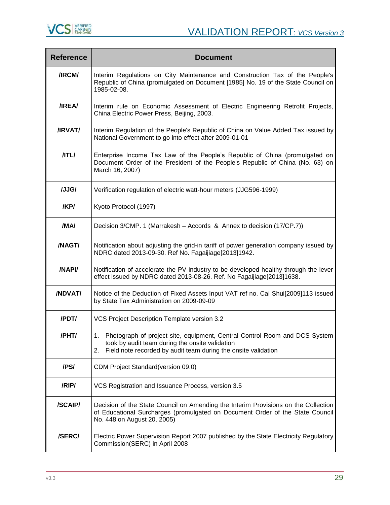

| <b>Reference</b> | <b>Document</b>                                                                                                                                                                                       |
|------------------|-------------------------------------------------------------------------------------------------------------------------------------------------------------------------------------------------------|
| /IRCM/           | Interim Regulations on City Maintenance and Construction Tax of the People's<br>Republic of China (promulgated on Document [1985] No. 19 of the State Council on<br>1985-02-08.                       |
| /IREA/           | Interim rule on Economic Assessment of Electric Engineering Retrofit Projects,<br>China Electric Power Press, Beijing, 2003.                                                                          |
| /IRVAT/          | Interim Regulation of the People's Republic of China on Value Added Tax issued by<br>National Government to go into effect after 2009-01-01                                                           |
| /ITL/            | Enterprise Income Tax Law of the People's Republic of China (promulgated on<br>Document Order of the President of the People's Republic of China (No. 63) on<br>March 16, 2007)                       |
| /JJG/            | Verification regulation of electric watt-hour meters (JJG596-1999)                                                                                                                                    |
| /KP/             | Kyoto Protocol (1997)                                                                                                                                                                                 |
| /MA/             | Decision 3/CMP. 1 (Marrakesh - Accords & Annex to decision (17/CP.7))                                                                                                                                 |
| /NAGT/           | Notification about adjusting the grid-in tariff of power generation company issued by<br>NDRC dated 2013-09-30. Ref No. Fagaijiage[2013]1942.                                                         |
| /NAPI/           | Notification of accelerate the PV industry to be developed healthy through the lever<br>effect issued by NDRC dated 2013-08-26. Ref. No Fagaijiage[2013]1638.                                         |
| /NDVAT/          | Notice of the Deduction of Fixed Assets Input VAT ref no. Cai Shui[2009]113 issued<br>by State Tax Administration on 2009-09-09                                                                       |
| /PDT/            | VCS Project Description Template version 3.2                                                                                                                                                          |
| /PHT/            | Photograph of project site, equipment, Central Control Room and DCS System<br>took by audit team during the onsite validation<br>Field note recorded by audit team during the onsite validation<br>2. |
| /PS/             | CDM Project Standard (version 09.0)                                                                                                                                                                   |
| /RIP/            | VCS Registration and Issuance Process, version 3.5                                                                                                                                                    |
| /SCAIP/          | Decision of the State Council on Amending the Interim Provisions on the Collection<br>of Educational Surcharges (promulgated on Document Order of the State Council<br>No. 448 on August 20, 2005)    |
| /SERC/           | Electric Power Supervision Report 2007 published by the State Electricity Regulatory<br>Commission(SERC) in April 2008                                                                                |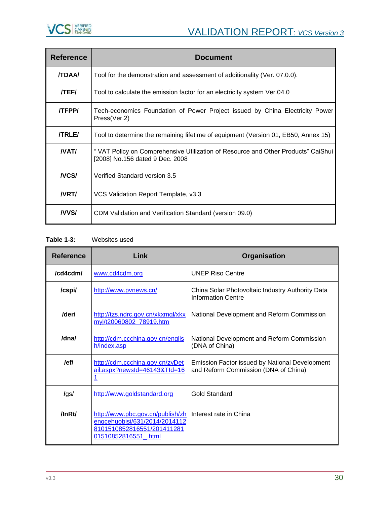

| <b>Reference</b> | <b>Document</b>                                                                                                      |
|------------------|----------------------------------------------------------------------------------------------------------------------|
| <b>/TDAA</b>     | Tool for the demonstration and assessment of additionality (Ver. 07.0.0).                                            |
| <b>/TEF/</b>     | Tool to calculate the emission factor for an electricity system Ver.04.0                                             |
| <b>TEPPI</b>     | Tech-economics Foundation of Power Project issued by China Electricity Power<br>Press(Ver.2)                         |
| <b>/TRLE/</b>    | Tool to determine the remaining lifetime of equipment (Version 01, EB50, Annex 15)                                   |
| NAT/             | " VAT Policy on Comprehensive Utilization of Resource and Other Products" CaiShui<br>[2008] No.156 dated 9 Dec. 2008 |
| <b>NCS/</b>      | Verified Standard version 3.5                                                                                        |
| <b>NRTI</b>      | VCS Validation Report Template, v3.3                                                                                 |
| <b>NVSI</b>      | CDM Validation and Verification Standard (version 09.0)                                                              |

**Table 1-3:** Websites used

| <b>Reference</b> | Link                                                                                                                    | <b>Organisation</b>                                                                           |  |
|------------------|-------------------------------------------------------------------------------------------------------------------------|-----------------------------------------------------------------------------------------------|--|
| /cddcdm/         | www.cd4cdm.org                                                                                                          | <b>UNEP Riso Centre</b>                                                                       |  |
| /cspi/           | http://www.pvnews.cn/                                                                                                   | China Solar Photovoltaic Industry Authority Data<br><b>Information Centre</b>                 |  |
| /der/            | http://tzs.ndrc.gov.cn/xkxmql/xkx<br>myj/t20060802_78919.htm                                                            | National Development and Reform Commission                                                    |  |
| /dna/            | http://cdm.ccchina.gov.cn/englis<br>h/index.asp                                                                         | National Development and Reform Commission<br>(DNA of China)                                  |  |
| /ef/             | http://cdm.ccchina.gov.cn/zyDet<br>ail.aspx?newsId=46143&TId=16                                                         | <b>Emission Factor issued by National Development</b><br>and Reform Commission (DNA of China) |  |
| lgs/             | http://www.goldstandard.org                                                                                             | Gold Standard                                                                                 |  |
| $\ln R t$        | http://www.pbc.gov.cn/publish/zh<br>engcehuobisi/631/2014/2014112<br>8101510852816551/201411281<br>01510852816551 .html | Interest rate in China                                                                        |  |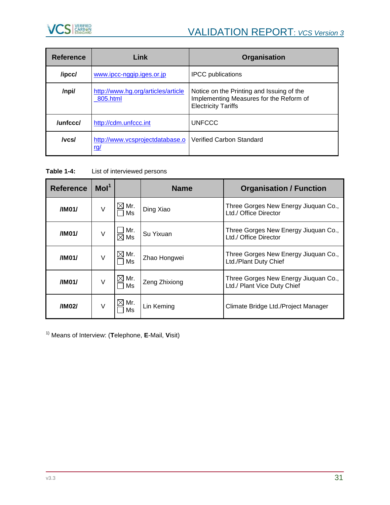

| <b>Reference</b> | Link                                           | Organisation                                                                                                       |  |  |
|------------------|------------------------------------------------|--------------------------------------------------------------------------------------------------------------------|--|--|
| /ipcc/           | www.ipcc-nggip.iges.or.jp                      | <b>IPCC</b> publications                                                                                           |  |  |
| /npi/            | http://www.hg.org/articles/article<br>805.html | Notice on the Printing and Issuing of the<br>Implementing Measures for the Reform of<br><b>Electricity Tariffs</b> |  |  |
| /unfccc/         | http://cdm.unfccc.int                          | <b>UNFCCC</b>                                                                                                      |  |  |
| /vcs/            | http://www.vcsprojectdatabase.o<br><u>rg/</u>  | Verified Carbon Standard                                                                                           |  |  |

**Table 1-4:** List of interviewed persons

| <b>Reference</b> | Mol <sup>1</sup> |                       | <b>Name</b>   | <b>Organisation / Function</b>                                      |
|------------------|------------------|-----------------------|---------------|---------------------------------------------------------------------|
| /IM01/           | V                | $\times$ l Mr.<br>Ms  | Ding Xiao     | Three Gorges New Energy Jiuquan Co.,<br>Ltd./ Office Director       |
| /IM01/           | V                | Mr.<br>$\boxtimes$ Ms | Su Yixuan     | Three Gorges New Energy Jiuquan Co.,<br>Ltd./ Office Director       |
| /IM01/           | $\vee$           | $\boxtimes$ Mr.<br>Ms | Zhao Hongwei  | Three Gorges New Energy Jiuquan Co.,<br>Ltd./Plant Duty Chief       |
| /IM01/           | V                | $\boxtimes$ Mr.<br>Ms | Zeng Zhixiong | Three Gorges New Energy Jiuquan Co.,<br>Ltd./ Plant Vice Duty Chief |
| /IM02/           | V                | ╳  Mr.<br>Ms          | Lin Keming    | Climate Bridge Ltd./Project Manager                                 |

1) Means of Interview: (**T**elephone, **E**-Mail, **V**isit)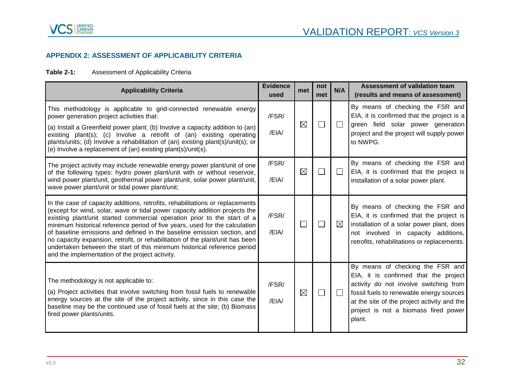

## **APPENDIX 2: ASSESSMENT OF APPLICABILITY CRITERIA**

## **Table 2-1:** Assessment of Applicability Criteria

<span id="page-31-0"></span>

| <b>Applicability Criteria</b>                                                                                                                                                                                                                                                                                                                                                                                                                                                                                                                                                                                      | <b>Evidence</b><br>used | met         | not<br>met | N/A          | Assessment of validation team<br>(results and means of assessment)                                                                                                                                                                                               |
|--------------------------------------------------------------------------------------------------------------------------------------------------------------------------------------------------------------------------------------------------------------------------------------------------------------------------------------------------------------------------------------------------------------------------------------------------------------------------------------------------------------------------------------------------------------------------------------------------------------------|-------------------------|-------------|------------|--------------|------------------------------------------------------------------------------------------------------------------------------------------------------------------------------------------------------------------------------------------------------------------|
| This methodology is applicable to grid-connected renewable energy<br>power generation project activities that:<br>(a) Install a Greenfield power plant; (b) Involve a capacity addition to (an)<br>existing plant(s); (c) Involve a retrofit of (an) existing operating<br>plants/units; (d) Involve a rehabilitation of (an) existing plant(s)/unit(s); or<br>(e) Involve a replacement of (an) existing plant(s)/unit(s).                                                                                                                                                                                        | /FSR/<br>/EIA/          | $\boxtimes$ |            | $\Box$       | By means of checking the FSR and<br>EIA, it is confirmed that the project is a<br>green field solar power generation<br>project and the project will supply power<br>to NWPG.                                                                                    |
| The project activity may include renewable energy power plant/unit of one<br>of the following types: hydro power plant/unit with or without reservoir,<br>wind power plant/unit, geothermal power plant/unit, solar power plant/unit,<br>wave power plant/unit or tidal power plant/unit;                                                                                                                                                                                                                                                                                                                          | /FSR/<br>/EIA/          | $\boxtimes$ |            | $\mathsf{L}$ | By means of checking the FSR and<br>EIA, it is confirmed that the project is<br>installation of a solar power plant.                                                                                                                                             |
| In the case of capacity additions, retrofits, rehabilitations or replacements<br>(except for wind, solar, wave or tidal power capacity addition projects the<br>existing plant/unit started commercial operation prior to the start of a<br>minimum historical reference period of five years, used for the calculation<br>of baseline emissions and defined in the baseline emission section, and<br>no capacity expansion, retrofit, or rehabilitation of the plant/unit has been<br>undertaken between the start of this minimum historical reference period<br>and the implementation of the project activity. | /FSR/<br>/EIA/          | $\Box$      |            | $\boxtimes$  | By means of checking the FSR and<br>EIA, it is confirmed that the project is<br>installation of a solar power plant, does<br>not involved in capacity additions,<br>retrofits, rehabilitations or replacements.                                                  |
| The methodology is not applicable to:<br>(a) Project activities that involve switching from fossil fuels to renewable<br>energy sources at the site of the project activity, since in this case the<br>baseline may be the continued use of fossil fuels at the site; (b) Biomass<br>fired power plants/units.                                                                                                                                                                                                                                                                                                     | /FSR/<br>/EIA/          | $\boxtimes$ |            | $\Box$       | By means of checking the FSR and<br>EIA, it is confirmed that the project<br>activity do not involve switching from<br>fossil fuels to renewable energy sources<br>at the site of the project activity and the<br>project is not a biomass fired power<br>plant. |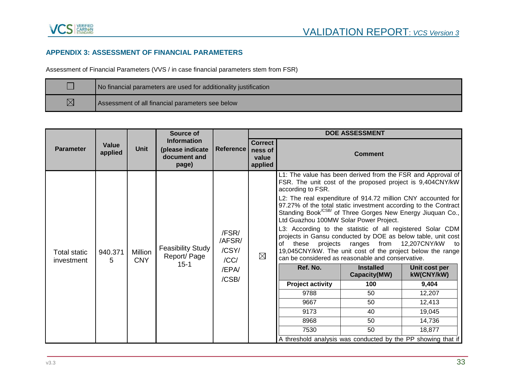## **APPENDIX 3: ASSESSMENT OF FINANCIAL PARAMETERS**

Assessment of Financial Parameters (VVS / in case financial parameters stem from FSR)

|             | No financial parameters are used for additionality justification |
|-------------|------------------------------------------------------------------|
| $\boxtimes$ | Assessment of all financial parameters see below                 |

<span id="page-32-0"></span>

|                                   |                                          |                                                        | Source of                                            |                                                    | <b>DOE ASSESSMENT</b> |                                                                                                                                                                                                                                                                                                                                                                                                                                                                                                                                                                                                                                                                                                                                                                 |                                                                                         |                                                                                                              |
|-----------------------------------|------------------------------------------|--------------------------------------------------------|------------------------------------------------------|----------------------------------------------------|-----------------------|-----------------------------------------------------------------------------------------------------------------------------------------------------------------------------------------------------------------------------------------------------------------------------------------------------------------------------------------------------------------------------------------------------------------------------------------------------------------------------------------------------------------------------------------------------------------------------------------------------------------------------------------------------------------------------------------------------------------------------------------------------------------|-----------------------------------------------------------------------------------------|--------------------------------------------------------------------------------------------------------------|
| <b>Parameter</b>                  | Value<br><b>Unit</b><br>applied<br>page) | <b>Information</b><br>(please indicate<br>document and | <b>Reference</b>                                     | <b>Correct</b><br>ness of<br>value<br>applied      |                       | <b>Comment</b>                                                                                                                                                                                                                                                                                                                                                                                                                                                                                                                                                                                                                                                                                                                                                  |                                                                                         |                                                                                                              |
| <b>Total static</b><br>investment | 940.371<br>5                             | <b>Million</b><br><b>CNY</b>                           | <b>Feasibility Study</b><br>Report/ Page<br>$15 - 1$ | /FSR/<br>/AFSR/<br>/CSY/<br>/CC/<br>/EPA/<br>/CSB/ | $\boxtimes$           | L1: The value has been derived from the FSR and Approval of<br>FSR. The unit cost of the proposed project is 9,404CNY/kW<br>according to FSR.<br>L2: The real expenditure of 914.72 million CNY accounted for<br>97.27% of the total static investment according to the Contract<br>Standing Book <sup>/CSB/</sup> of Three Gorges New Energy Jiuquan Co.,<br>Ltd Guazhou 100MW Solar Power Project.<br>L3: According to the statistic of all registered Solar CDM<br>projects in Gansu conducted by DOE as below table, unit cost<br>projects<br>of<br>these<br>19,045CNY/kW. The unit cost of the project below the range<br>can be considered as reasonable and conservative.<br>Ref. No.<br><b>Project activity</b><br>9788<br>9667<br>9173<br>8968<br>7530 | ranges<br>from<br><b>Installed</b><br>Capacity(MW)<br>100<br>50<br>50<br>40<br>50<br>50 | 12,207CNY/kW<br>to<br>Unit cost per<br>kW(CNY/kW)<br>9,404<br>12,207<br>12,413<br>19,045<br>14,736<br>18,877 |
|                                   |                                          |                                                        |                                                      |                                                    |                       | A threshold analysis was conducted by the PP showing that if                                                                                                                                                                                                                                                                                                                                                                                                                                                                                                                                                                                                                                                                                                    |                                                                                         |                                                                                                              |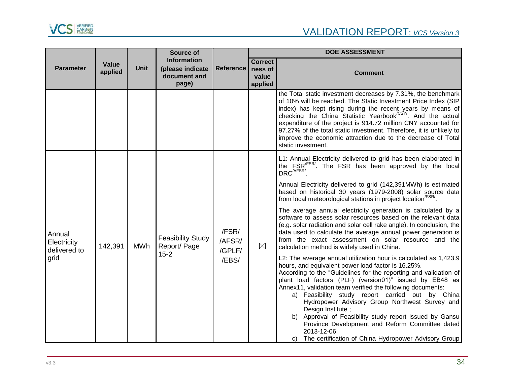

|                                               |                         |             | Source of                                                       |                                    | <b>DOE ASSESSMENT</b>                         |                                                                                                                                                                                                                                                                                                                                                                                                                                                                                                                                                                                                                                                                                                                                                                                                                                                                                                                                                                                                                                                                                                                                                                                                                                                                                                                               |  |
|-----------------------------------------------|-------------------------|-------------|-----------------------------------------------------------------|------------------------------------|-----------------------------------------------|-------------------------------------------------------------------------------------------------------------------------------------------------------------------------------------------------------------------------------------------------------------------------------------------------------------------------------------------------------------------------------------------------------------------------------------------------------------------------------------------------------------------------------------------------------------------------------------------------------------------------------------------------------------------------------------------------------------------------------------------------------------------------------------------------------------------------------------------------------------------------------------------------------------------------------------------------------------------------------------------------------------------------------------------------------------------------------------------------------------------------------------------------------------------------------------------------------------------------------------------------------------------------------------------------------------------------------|--|
| <b>Parameter</b>                              | <b>Value</b><br>applied | <b>Unit</b> | <b>Information</b><br>(please indicate<br>document and<br>page) | <b>Reference</b>                   | <b>Correct</b><br>ness of<br>value<br>applied | <b>Comment</b>                                                                                                                                                                                                                                                                                                                                                                                                                                                                                                                                                                                                                                                                                                                                                                                                                                                                                                                                                                                                                                                                                                                                                                                                                                                                                                                |  |
|                                               |                         |             |                                                                 |                                    |                                               | the Total static investment decreases by 7.31%, the benchmark<br>of 10% will be reached. The Static Investment Price Index (SIP<br>index) has kept rising during the recent years by means of<br>checking the China Statistic Yearbook <sup>/CSY/</sup> . And the actual<br>expenditure of the project is 914.72 million CNY accounted for<br>97.27% of the total static investment. Therefore, it is unlikely to<br>improve the economic attraction due to the decrease of Total<br>static investment.                                                                                                                                                                                                                                                                                                                                                                                                                                                                                                                                                                                                                                                                                                                                                                                                                       |  |
| Annual<br>Electricity<br>delivered to<br>grid | 142,391                 | MWh         | <b>Feasibility Study</b><br>Report/Page<br>$15 - 2$             | /FSR/<br>/AFSR/<br>/GPLF/<br>/EBS/ | $\boxtimes$                                   | L1: Annual Electricity delivered to grid has been elaborated in<br>the FSR <sup>/FSR/</sup> . The FSR has been approved by the local<br>DRC <sup>/AFSR/</sup> .<br>Annual Electricity delivered to grid (142,391MWh) is estimated<br>based on historical 30 years (1979-2008) solar source data<br>from local meteorological stations in project location <sup>/FSR/</sup> .<br>The average annual electricity generation is calculated by a<br>software to assess solar resources based on the relevant data<br>(e.g. solar radiation and solar cell rake angle). In conclusion, the<br>data used to calculate the average annual power generation is<br>from the exact assessment on solar resource and the<br>calculation method is widely used in China.<br>L2: The average annual utilization hour is calculated as 1,423.9<br>hours, and equivalent power load factor is 16.25%.<br>According to the "Guidelines for the reporting and validation of<br>plant load factors (PLF) (version01)" issued by EB48 as<br>Annex11, validation team verified the following documents:<br>a) Feasibility study report carried out by China<br>Hydropower Advisory Group Northwest Survey and<br>Design Institute ;<br>b) Approval of Feasibility study report issued by Gansu<br>Province Development and Reform Committee dated |  |
|                                               |                         |             |                                                                 |                                    |                                               | 2013-12-06;<br>c) The certification of China Hydropower Advisory Group                                                                                                                                                                                                                                                                                                                                                                                                                                                                                                                                                                                                                                                                                                                                                                                                                                                                                                                                                                                                                                                                                                                                                                                                                                                        |  |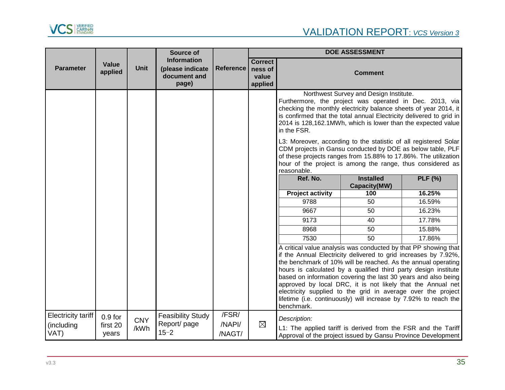

|                                                 | Source of<br><b>Information</b><br>Value<br><b>Unit</b><br>(please indicate<br>applied<br>document and<br>page) |                    |                                                     |                           | <b>DOE ASSESSMENT</b> |                                                                                                                                                                                                                                                                                                                                                                                                                                                                                                                                                                     |                                         |                |
|-------------------------------------------------|-----------------------------------------------------------------------------------------------------------------|--------------------|-----------------------------------------------------|---------------------------|-----------------------|---------------------------------------------------------------------------------------------------------------------------------------------------------------------------------------------------------------------------------------------------------------------------------------------------------------------------------------------------------------------------------------------------------------------------------------------------------------------------------------------------------------------------------------------------------------------|-----------------------------------------|----------------|
| <b>Parameter</b>                                |                                                                                                                 | <b>Reference</b>   | <b>Correct</b><br>ness of<br>value<br>applied       |                           | <b>Comment</b>        |                                                                                                                                                                                                                                                                                                                                                                                                                                                                                                                                                                     |                                         |                |
|                                                 |                                                                                                                 |                    |                                                     |                           |                       | Furthermore, the project was operated in Dec. 2013, via<br>checking the monthly electricity balance sheets of year 2014, it<br>is confirmed that the total annual Electricity delivered to grid in<br>2014 is 128,162.1MWh, which is lower than the expected value<br>in the FSR.<br>L3: Moreover, according to the statistic of all registered Solar<br>CDM projects in Gansu conducted by DOE as below table, PLF<br>of these projects ranges from 15.88% to 17.86%. The utilization<br>hour of the project is among the range, thus considered as<br>reasonable. | Northwest Survey and Design Institute.  |                |
|                                                 |                                                                                                                 |                    |                                                     |                           |                       | Ref. No.                                                                                                                                                                                                                                                                                                                                                                                                                                                                                                                                                            | <b>Installed</b><br><b>Capacity(MW)</b> | <b>PLF</b> (%) |
|                                                 |                                                                                                                 |                    |                                                     |                           |                       | <b>Project activity</b>                                                                                                                                                                                                                                                                                                                                                                                                                                                                                                                                             | 100                                     | 16.25%         |
|                                                 |                                                                                                                 |                    |                                                     |                           |                       | 9788                                                                                                                                                                                                                                                                                                                                                                                                                                                                                                                                                                | 50                                      | 16.59%         |
|                                                 |                                                                                                                 |                    |                                                     |                           |                       | 9667                                                                                                                                                                                                                                                                                                                                                                                                                                                                                                                                                                | 50                                      | 16.23%         |
|                                                 |                                                                                                                 |                    |                                                     |                           |                       | 9173                                                                                                                                                                                                                                                                                                                                                                                                                                                                                                                                                                | 40                                      | 17.78%         |
|                                                 |                                                                                                                 |                    |                                                     |                           |                       | 8968                                                                                                                                                                                                                                                                                                                                                                                                                                                                                                                                                                | 50                                      | 15.88%         |
|                                                 |                                                                                                                 |                    |                                                     |                           |                       | 7530                                                                                                                                                                                                                                                                                                                                                                                                                                                                                                                                                                | 50                                      | 17.86%         |
|                                                 |                                                                                                                 |                    |                                                     |                           |                       | A critical value analysis was conducted by that PP showing that<br>if the Annual Electricity delivered to grid increases by 7.92%,<br>the benchmark of 10% will be reached. As the annual operating<br>hours is calculated by a qualified third party design institute<br>based on information covering the last 30 years and also being<br>approved by local DRC, it is not likely that the Annual net<br>electricity supplied to the grid in average over the project<br>lifetime (i.e. continuously) will increase by 7.92% to reach the<br>benchmark.           |                                         |                |
| <b>Electricity tariff</b><br>(including<br>VAT) | $0.9$ for<br>first 20<br>years                                                                                  | <b>CNY</b><br>/kWh | <b>Feasibility Study</b><br>Report/page<br>$15 - 2$ | /FSR/<br>/NAPI/<br>/NAGT/ | $\boxtimes$           | Description:<br>L1: The applied tariff is derived from the FSR and the Tariff<br>Approval of the project issued by Gansu Province Development                                                                                                                                                                                                                                                                                                                                                                                                                       |                                         |                |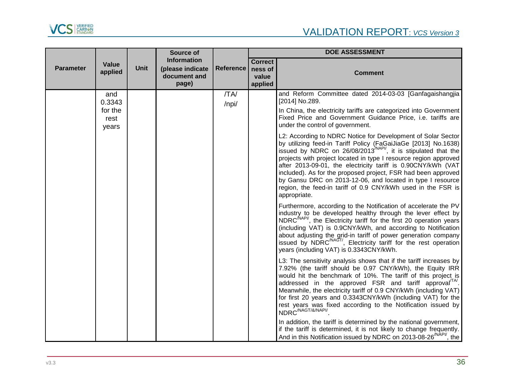

|                  |                          |             | Source of                                                       |                  | <b>DOE ASSESSMENT</b>                         |                                                                                                                                                                                                                                                                                                                                                                                                                                                                                                                                                                 |  |  |
|------------------|--------------------------|-------------|-----------------------------------------------------------------|------------------|-----------------------------------------------|-----------------------------------------------------------------------------------------------------------------------------------------------------------------------------------------------------------------------------------------------------------------------------------------------------------------------------------------------------------------------------------------------------------------------------------------------------------------------------------------------------------------------------------------------------------------|--|--|
| <b>Parameter</b> | Value<br>applied         | <b>Unit</b> | <b>Information</b><br>(please indicate<br>document and<br>page) | <b>Reference</b> | <b>Correct</b><br>ness of<br>value<br>applied | <b>Comment</b>                                                                                                                                                                                                                                                                                                                                                                                                                                                                                                                                                  |  |  |
|                  | and<br>0.3343<br>for the |             |                                                                 | /TA/<br>/npi/    |                                               | and Reform Committee dated 2014-03-03 [Ganfagaishangjia<br>[2014] No.289.<br>In China, the electricity tariffs are categorized into Government                                                                                                                                                                                                                                                                                                                                                                                                                  |  |  |
|                  | rest<br>years            |             |                                                                 |                  |                                               | Fixed Price and Government Guidance Price, i.e. tariffs are<br>under the control of government.                                                                                                                                                                                                                                                                                                                                                                                                                                                                 |  |  |
|                  |                          |             |                                                                 |                  |                                               | L2: According to NDRC Notice for Development of Solar Sector<br>by utilizing feed-in Tariff Policy (FaGaiJiaGe [2013] No.1638)<br>issued by NDRC on 26/08/2013 <sup>/NAPI/</sup> , it is stipulated that the<br>projects with project located in type I resource region approved<br>after 2013-09-01, the electricity tariff is 0.90CNY/kWh (VAT<br>included). As for the proposed project, FSR had been approved<br>by Gansu DRC on 2013-12-06, and located in type I resource<br>region, the feed-in tariff of 0.9 CNY/kWh used in the FSR is<br>appropriate. |  |  |
|                  |                          |             |                                                                 |                  |                                               | Furthermore, according to the Notification of accelerate the PV<br>industry to be developed healthy through the lever effect by<br>NDRC <sup>/NAPI/</sup> , the Electricity tariff for the first 20 operation years<br>(including VAT) is 0.9CNY/kWh, and according to Notification<br>about adjusting the grid-in tariff of power generation company<br>issued by NDRC <sup>/NAGT/</sup> , Electricity tariff for the rest operation<br>years (including VAT) is 0.3343CNY/kWh.                                                                                |  |  |
|                  |                          |             |                                                                 |                  |                                               | L3: The sensitivity analysis shows that if the tariff increases by<br>7.92% (the tariff should be 0.97 CNY/kWh), the Equity IRR<br>would hit the benchmark of 10%. The tariff of this project is<br>addressed in the approved FSR and tariff approval <sup>TA</sup> .<br>Meanwhile, the electricity tariff of 0.9 CNY/kWh (including VAT)<br>for first 20 years and 0.3343CNY/kWh (including VAT) for the<br>rest years was fixed according to the Notification issued by<br>NDRC <sup>/NAGT/&amp;/NAPI/</sup>                                                  |  |  |
|                  |                          |             |                                                                 |                  |                                               | In addition, the tariff is determined by the national government,<br>if the tariff is determined, it is not likely to change frequently.<br>And in this Notification issued by NDRC on 2013-08-26 <sup>(NAPI/</sup> , the                                                                                                                                                                                                                                                                                                                                       |  |  |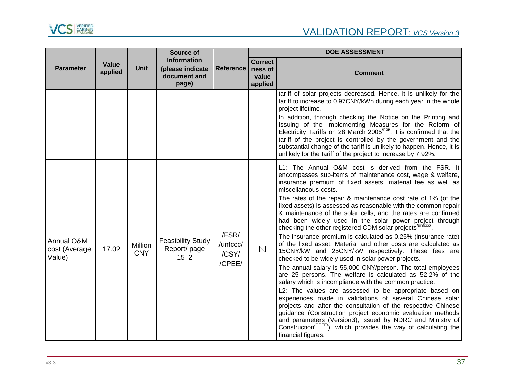

|                                       |                  |                       | Source of                                                       |                                      | <b>DOE ASSESSMENT</b>                         |                                                                                                                                                                                                                                                                                                                                                                                                                                                                                                                                                                                                                                                                                                                                                                                                                                                                                                                                                                                                                                                                                                                                                                                                                                                                                                                                                                                                              |  |
|---------------------------------------|------------------|-----------------------|-----------------------------------------------------------------|--------------------------------------|-----------------------------------------------|--------------------------------------------------------------------------------------------------------------------------------------------------------------------------------------------------------------------------------------------------------------------------------------------------------------------------------------------------------------------------------------------------------------------------------------------------------------------------------------------------------------------------------------------------------------------------------------------------------------------------------------------------------------------------------------------------------------------------------------------------------------------------------------------------------------------------------------------------------------------------------------------------------------------------------------------------------------------------------------------------------------------------------------------------------------------------------------------------------------------------------------------------------------------------------------------------------------------------------------------------------------------------------------------------------------------------------------------------------------------------------------------------------------|--|
| <b>Parameter</b>                      | Value<br>applied | <b>Unit</b>           | <b>Information</b><br>(please indicate<br>document and<br>page) | <b>Reference</b>                     | <b>Correct</b><br>ness of<br>value<br>applied | <b>Comment</b>                                                                                                                                                                                                                                                                                                                                                                                                                                                                                                                                                                                                                                                                                                                                                                                                                                                                                                                                                                                                                                                                                                                                                                                                                                                                                                                                                                                               |  |
|                                       |                  |                       |                                                                 |                                      |                                               | tariff of solar projects decreased. Hence, it is unlikely for the<br>tariff to increase to 0.97CNY/kWh during each year in the whole<br>project lifetime.<br>In addition, through checking the Notice on the Printing and<br>Issuing of the Implementing Measures for the Reform of<br>Electricity Tariffs on 28 March 2005 <sup>/npi/</sup> , it is confirmed that the<br>tariff of the project is controlled by the government and the<br>substantial change of the tariff is unlikely to happen. Hence, it is<br>unlikely for the tariff of the project to increase by 7.92%.                                                                                                                                                                                                                                                                                                                                                                                                                                                                                                                                                                                                                                                                                                                                                                                                                             |  |
| Annual O&M<br>cost (Average<br>Value) | 17.02            | Million<br><b>CNY</b> | <b>Feasibility Study</b><br>Report/ page<br>$15 - 2$            | /FSR/<br>/unfccc/<br>/CSY/<br>/CPEE/ | $\boxtimes$                                   | L1: The Annual O&M cost is derived from the FSR. It<br>encompasses sub-items of maintenance cost, wage & welfare,<br>insurance premium of fixed assets, material fee as well as<br>miscellaneous costs.<br>The rates of the repair & maintenance cost rate of 1% (of the<br>fixed assets) is assessed as reasonable with the common repair<br>& maintenance of the solar cells, and the rates are confirmed<br>had been widely used in the solar power project through<br>checking the other registered CDM solar projects <sup>/unfccc/</sup> .<br>The insurance premium is calculated as 0.25% (insurance rate)<br>of the fixed asset. Material and other costs are calculated as<br>15CNY/kW and 25CNY/kW respectively. These fees are<br>checked to be widely used in solar power projects.<br>The annual salary is 55,000 CNY/person. The total employees<br>are 25 persons. The welfare is calculated as 52.2% of the<br>salary which is incompliance with the common practice.<br>L2: The values are assessed to be appropriate based on<br>experiences made in validations of several Chinese solar<br>projects and after the consultation of the respective Chinese<br>guidance (Construction project economic evaluation methods<br>and parameters (Version3), issued by NDRC and Ministry of<br>Construction <sup>/CPEE/</sup> ), which provides the way of calculating the<br>financial figures. |  |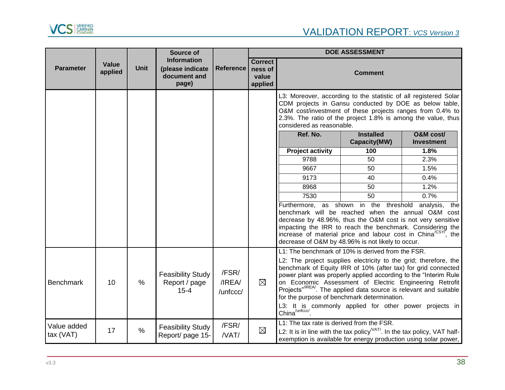

|                          |                         |               | Source of                                                       |                             | <b>DOE ASSESSMENT</b>                         |                                                                                                                                                                                                                                                                                                                                                                                                                                                                                                                                             |                                  |                                |
|--------------------------|-------------------------|---------------|-----------------------------------------------------------------|-----------------------------|-----------------------------------------------|---------------------------------------------------------------------------------------------------------------------------------------------------------------------------------------------------------------------------------------------------------------------------------------------------------------------------------------------------------------------------------------------------------------------------------------------------------------------------------------------------------------------------------------------|----------------------------------|--------------------------------|
| <b>Parameter</b>         | <b>Value</b><br>applied | <b>Unit</b>   | <b>Information</b><br>(please indicate<br>document and<br>page) | <b>Reference</b>            | <b>Correct</b><br>ness of<br>value<br>applied |                                                                                                                                                                                                                                                                                                                                                                                                                                                                                                                                             | <b>Comment</b>                   |                                |
|                          |                         |               |                                                                 |                             |                                               | L3: Moreover, according to the statistic of all registered Solar<br>CDM projects in Gansu conducted by DOE as below table,<br>O&M cost/investment of these projects ranges from 0.4% to<br>2.3%. The ratio of the project 1.8% is among the value, thus<br>considered as reasonable.                                                                                                                                                                                                                                                        |                                  |                                |
|                          |                         |               |                                                                 |                             |                                               | Ref. No.                                                                                                                                                                                                                                                                                                                                                                                                                                                                                                                                    | <b>Installed</b><br>Capacity(MW) | O&M cost/<br><b>Investment</b> |
|                          |                         |               |                                                                 |                             |                                               | <b>Project activity</b>                                                                                                                                                                                                                                                                                                                                                                                                                                                                                                                     | 100                              | 1.8%                           |
|                          |                         |               |                                                                 |                             |                                               | 9788                                                                                                                                                                                                                                                                                                                                                                                                                                                                                                                                        | 50                               | 2.3%                           |
|                          |                         |               |                                                                 |                             | 9667                                          | 50                                                                                                                                                                                                                                                                                                                                                                                                                                                                                                                                          | 1.5%                             |                                |
|                          |                         |               |                                                                 |                             | 9173                                          | 40                                                                                                                                                                                                                                                                                                                                                                                                                                                                                                                                          | 0.4%                             |                                |
|                          |                         |               |                                                                 | 8968                        | 50                                            | 1.2%                                                                                                                                                                                                                                                                                                                                                                                                                                                                                                                                        |                                  |                                |
|                          |                         |               |                                                                 |                             |                                               | 7530                                                                                                                                                                                                                                                                                                                                                                                                                                                                                                                                        | 50                               | 0.7%                           |
|                          |                         |               |                                                                 |                             |                                               | Furthermore, as shown in the threshold analysis,<br>benchmark will be reached when the annual O&M cost<br>decrease by 48.96%, thus the O&M cost is not very sensitive<br>impacting the IRR to reach the benchmark. Considering the<br>increase of material price and labour cost in China <sup>/CSYT</sup> , the<br>decrease of O&M by 48.96% is not likely to occur.                                                                                                                                                                       |                                  | the                            |
| <b>Benchmark</b>         | 10                      | $\frac{0}{0}$ | <b>Feasibility Study</b><br>Report / page<br>$15 - 4$           | /FSR/<br>/IREA/<br>/unfccc/ | $\boxtimes$                                   | L1: The benchmark of 10% is derived from the FSR.<br>L2: The project supplies electricity to the grid; therefore, the<br>benchmark of Equity IRR of 10% (after tax) for grid connected<br>power plant was properly applied according to the "Interim Rule<br>on Economic Assessment of Electric Engineering Retrofit<br>Projects" <sup>/IREA/</sup> . The applied data source is relevant and suitable<br>for the purpose of benchmark determination.<br>L3: It is commonly applied for other power projects in China <sup>/unfccc/</sup> . |                                  |                                |
| Value added<br>tax (VAT) | 17                      | $\%$          | <b>Feasibility Study</b><br>Report/ page 15-                    | /FSR/<br>/VAT/              | $\boxtimes$                                   | L1: The tax rate is derived from the FSR.<br>L2: It is in line with the tax policy <sup><math>NAT/</math></sup> . In the tax policy, VAT half-<br>exemption is available for energy production using solar power,                                                                                                                                                                                                                                                                                                                           |                                  |                                |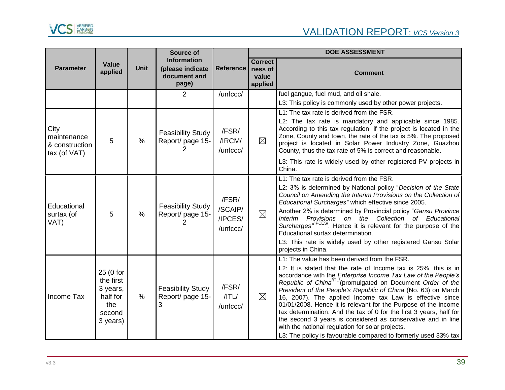

|                                                       |                                                                             |               | Source of                                                       |                                         | <b>DOE ASSESSMENT</b>                         |                                                                                                                                                                                                                                                                                                                                                                                                                                                                                                                                                                                                                                                                                                                                 |  |
|-------------------------------------------------------|-----------------------------------------------------------------------------|---------------|-----------------------------------------------------------------|-----------------------------------------|-----------------------------------------------|---------------------------------------------------------------------------------------------------------------------------------------------------------------------------------------------------------------------------------------------------------------------------------------------------------------------------------------------------------------------------------------------------------------------------------------------------------------------------------------------------------------------------------------------------------------------------------------------------------------------------------------------------------------------------------------------------------------------------------|--|
| <b>Parameter</b>                                      | Value<br>applied                                                            | <b>Unit</b>   | <b>Information</b><br>(please indicate<br>document and<br>page) | <b>Reference</b>                        | <b>Correct</b><br>ness of<br>value<br>applied | <b>Comment</b>                                                                                                                                                                                                                                                                                                                                                                                                                                                                                                                                                                                                                                                                                                                  |  |
|                                                       |                                                                             |               | 2                                                               | /unfccc/                                |                                               | fuel gangue, fuel mud, and oil shale.<br>L3: This policy is commonly used by other power projects.                                                                                                                                                                                                                                                                                                                                                                                                                                                                                                                                                                                                                              |  |
| City<br>maintenance<br>& construction<br>tax (of VAT) | 5                                                                           | $\frac{0}{0}$ | <b>Feasibility Study</b><br>Report/ page 15-<br>2               | /FSR/<br>/IRCM/<br>/unfccc/             | $\boxtimes$                                   | L1: The tax rate is derived from the FSR.<br>L2: The tax rate is mandatory and applicable since 1985.<br>According to this tax regulation, if the project is located in the<br>Zone, County and town, the rate of the tax is 5%. The proposed<br>project is located in Solar Power Industry Zone, Guazhou<br>County, thus the tax rate of 5% is correct and reasonable.<br>L3: This rate is widely used by other registered PV projects in<br>China.                                                                                                                                                                                                                                                                            |  |
| Educational<br>surtax (of<br>VAT)                     | 5                                                                           | $\frac{0}{0}$ | <b>Feasibility Study</b><br>Report/ page 15-                    | /FSR/<br>/SCAIP/<br>/IPCES/<br>/unfccc/ | $\boxtimes$                                   | L1: The tax rate is derived from the FSR.<br>L2: 3% is determined by National policy "Decision of the State<br>Council on Amending the Interim Provisions on the Collection of<br>Educational Surcharges" which effective since 2005.<br>Another 2% is determined by Provincial policy "Gansu Province<br>Provisions on the Collection of Educational<br>Interim<br>Surcharges"IPCES'. Hence it is relevant for the purpose of the<br>Educational surtax determination.<br>L3: This rate is widely used by other registered Gansu Solar<br>projects in China.                                                                                                                                                                   |  |
| Income Tax                                            | 25 (0 for<br>the first<br>3 years,<br>half for<br>the<br>second<br>3 years) | $\frac{0}{0}$ | <b>Feasibility Study</b><br>Report/ page 15-<br>3               | /FSR/<br>$/$ TL $/$<br>/unfccc/         | $\boxtimes$                                   | L1: The value has been derived from the FSR.<br>L2: It is stated that the rate of Income tax is 25%, this is in<br>accordance with the <i>Enterprise Income Tax Law of the People's</i><br>Republic of China <sup>(ITL/</sup> (promulgated on Document Order of the<br>President of the People's Republic of China (No. 63) on March<br>16, 2007). The applied Income tax Law is effective since<br>01/01/2008. Hence it is relevant for the Purpose of the income<br>tax determination. And the tax of 0 for the first 3 years, half for<br>the second 3 years is considered as conservative and in line<br>with the national regulation for solar projects.<br>L3: The policy is favourable compared to formerly used 33% tax |  |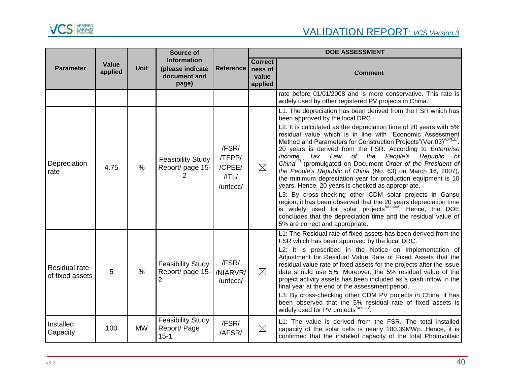

|                                  |                  |               | Source of                                                       |                                                     | <b>DOE ASSESSMENT</b>                         |                                                                                                                                                                                                                                                                                                                                                                                                                                                                                                                                                                                                                                                                                                                                                                                                                                                                                                                                                                                                                  |  |
|----------------------------------|------------------|---------------|-----------------------------------------------------------------|-----------------------------------------------------|-----------------------------------------------|------------------------------------------------------------------------------------------------------------------------------------------------------------------------------------------------------------------------------------------------------------------------------------------------------------------------------------------------------------------------------------------------------------------------------------------------------------------------------------------------------------------------------------------------------------------------------------------------------------------------------------------------------------------------------------------------------------------------------------------------------------------------------------------------------------------------------------------------------------------------------------------------------------------------------------------------------------------------------------------------------------------|--|
| <b>Parameter</b>                 | Value<br>applied | <b>Unit</b>   | <b>Information</b><br>(please indicate<br>document and<br>page) | <b>Reference</b>                                    | <b>Correct</b><br>ness of<br>value<br>applied | <b>Comment</b>                                                                                                                                                                                                                                                                                                                                                                                                                                                                                                                                                                                                                                                                                                                                                                                                                                                                                                                                                                                                   |  |
|                                  |                  |               |                                                                 |                                                     |                                               | rate before 01/01/2008 and is more conservative. This rate is<br>widely used by other registered PV projects in China.                                                                                                                                                                                                                                                                                                                                                                                                                                                                                                                                                                                                                                                                                                                                                                                                                                                                                           |  |
| Depreciation<br>rate             | 4.75             | $\frac{0}{0}$ | <b>Feasibility Study</b><br>Report/ page 15-                    | /FSR/<br>/TFPP/<br>/CPEE/<br>$/$ TL $/$<br>/unfccc/ | $\boxtimes$                                   | L1: The depreciation has been derived from the FSR which has<br>been approved by the local DRC.<br>L2: It is calculated as the depreciation time of 20 years with 5%<br>residual value which is in line with "Economic Assessment<br>Method and Parameters for Construction Projects"(Ver.03) <sup>/CPEE/</sup> .<br>20 years is derived from the FSR. According to Enterprise<br>Income Tax Law of the People's<br>Republic<br>of<br>China <sup>ITL/</sup> (promulgated on Document Order of the President of<br>the People's Republic of China (No. 63) on March 16, 2007),<br>the minimum depreciation year for production equipment is 10<br>years. Hence, 20 years is checked as appropriate.<br>L3: By cross-checking other CDM solar projects in Gansu<br>region, it has been observed that the 20 years depreciation time<br>is widely used for solar projects <sup>/unfccc/</sup> . Hence, the DOE<br>concludes that the depreciation time and the residual value of<br>5% are correct and appropriate. |  |
| Residual rate<br>of fixed assets | 5                | $\frac{0}{0}$ | <b>Feasibility Study</b><br>Report/ page 15-                    | /FSR/<br>/NIARVR/<br>/unfccc/                       | $\boxtimes$                                   | L1: The Residual rate of fixed assets has been derived from the<br>FSR which has been approved by the local DRC.<br>L2: It is prescribed in the Notice on Implementation of<br>Adjustment for Residual Value Rate of Fixed Assets that the<br>residual value rate of fixed assets for the projects after the issue<br>date should use 5%. Moreover, the 5% residual value of the<br>project activity assets has been included as a cash inflow in the<br>final year at the end of the assessment period.<br>L3: By cross-checking other CDM PV projects in China, it has<br>been observed that the 5% residual rate of fixed assets is<br>widely used for PV projects <sup>/unfccc/</sup>                                                                                                                                                                                                                                                                                                                        |  |
| Installed<br>Capacity            | 100              | <b>MW</b>     | <b>Feasibility Study</b><br>Report/ Page<br>$15 - 1$            | /FSR/<br>/AFSR/                                     | $\boxtimes$                                   | L1: The value is derived from the FSR. The total installed<br>capacity of the solar cells is nearly 100.39MWp. Hence, it is<br>confirmed that the installed capacity of the total Photovoltaic                                                                                                                                                                                                                                                                                                                                                                                                                                                                                                                                                                                                                                                                                                                                                                                                                   |  |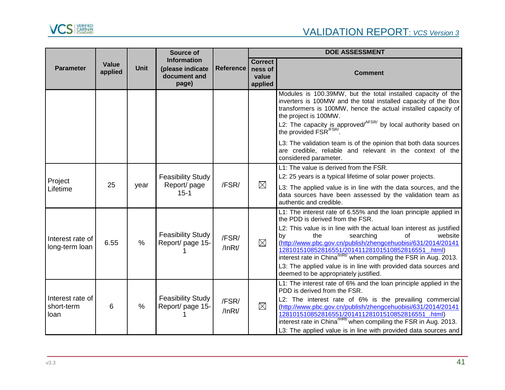

|                                        |                  |               | Source of                                                       |                       | <b>DOE ASSESSMENT</b>                         |                                                                                                                                                                                                                                                                                                                                                                                                                                                                                                                                           |  |
|----------------------------------------|------------------|---------------|-----------------------------------------------------------------|-----------------------|-----------------------------------------------|-------------------------------------------------------------------------------------------------------------------------------------------------------------------------------------------------------------------------------------------------------------------------------------------------------------------------------------------------------------------------------------------------------------------------------------------------------------------------------------------------------------------------------------------|--|
| <b>Parameter</b>                       | Value<br>applied | <b>Unit</b>   | <b>Information</b><br>(please indicate<br>document and<br>page) | <b>Reference</b>      | <b>Correct</b><br>ness of<br>value<br>applied | <b>Comment</b>                                                                                                                                                                                                                                                                                                                                                                                                                                                                                                                            |  |
|                                        |                  |               |                                                                 |                       |                                               | Modules is 100.39MW, but the total installed capacity of the<br>inverters is 100MW and the total installed capacity of the Box<br>transformers is 100MW, hence the actual installed capacity of<br>the project is 100MW.<br>L2: The capacity is approved/ $AFSR/$ by local authority based on the provided $FSR/FSR/$ .<br>L3: The validation team is of the opinion that both data sources<br>are credible, reliable and relevant in the context of the<br>considered parameter.                                                         |  |
| Project<br>Lifetime                    | 25               | year          | <b>Feasibility Study</b><br>Report/ page<br>$15 - 1$            | /FSR/                 | $\boxtimes$                                   | L1: The value is derived from the FSR.<br>L2: 25 years is a typical lifetime of solar power projects.<br>L3: The applied value is in line with the data sources, and the<br>data sources have been assessed by the validation team as<br>authentic and credible.                                                                                                                                                                                                                                                                          |  |
| Interest rate of<br>long-term loan     | 6.55             | $\frac{0}{0}$ | <b>Feasibility Study</b><br>Report/ page 15-                    | /FSR/<br>$/$ InRt $/$ | $\boxtimes$                                   | L1: The interest rate of 6.55% and the loan principle applied in<br>the PDD is derived from the FSR.<br>L2: This value is in line with the actual loan interest as justified<br>of<br>by<br>the<br>searching<br>website<br>(http://www.pbc.gov.cn/publish/zhengcehuobisi/631/2014/20141<br>128101510852816551/20141128101510852816551 .html)<br>interest rate in China <sup>/InRt/</sup> when compiling the FSR in Aug. 2013.<br>L3: The applied value is in line with provided data sources and<br>deemed to be appropriately justified. |  |
| Interest rate of<br>short-term<br>loan | 6                | $\frac{0}{0}$ | <b>Feasibility Study</b><br>Report/ page 15-                    | /FSR/<br>$/$ InRt $/$ | $\boxtimes$                                   | L1: The interest rate of 6% and the loan principle applied in the<br>PDD is derived from the FSR.<br>L2: The interest rate of 6% is the prevailing commercial<br>(http://www.pbc.gov.cn/publish/zhengcehuobisi/631/2014/20141<br>128101510852816551/20141128101510852816551_.html)<br>interest rate in China <sup>/InRt/</sup> when compiling the FSR in Aug. 2013.<br>L3: The applied value is in line with provided data sources and                                                                                                    |  |